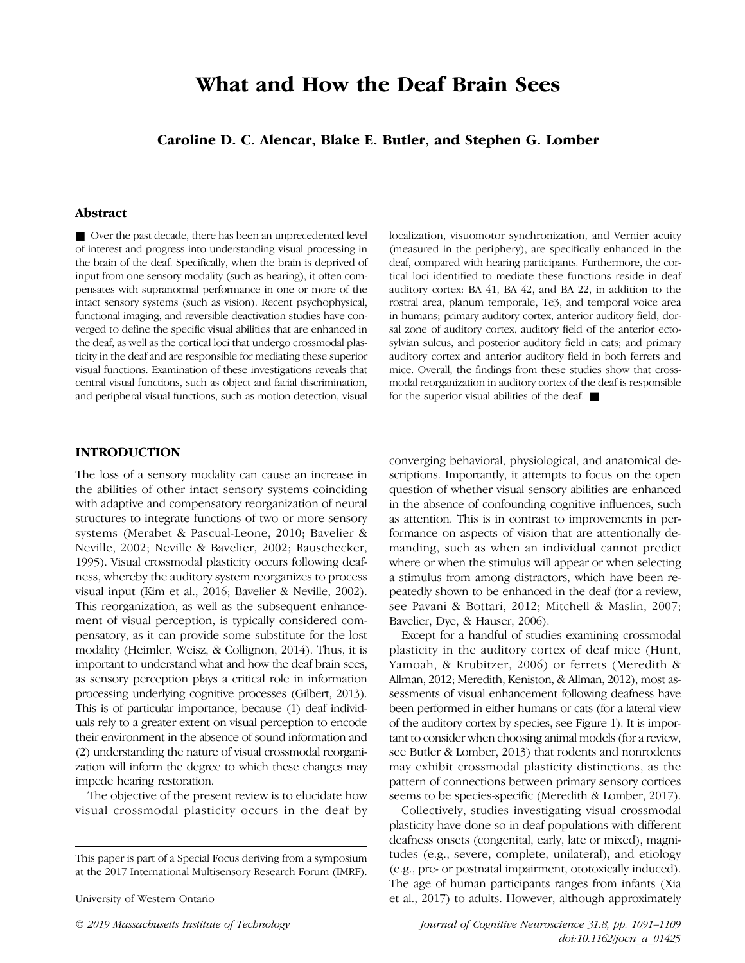# What and How the Deaf Brain Sees

Caroline D. C. Alencar, Blake E. Butler, and Stephen G. Lomber

# Abstract

■ Over the past decade, there has been an unprecedented level of interest and progress into understanding visual processing in the brain of the deaf. Specifically, when the brain is deprived of input from one sensory modality (such as hearing), it often compensates with supranormal performance in one or more of the intact sensory systems (such as vision). Recent psychophysical, functional imaging, and reversible deactivation studies have converged to define the specific visual abilities that are enhanced in the deaf, as well as the cortical loci that undergo crossmodal plasticity in the deaf and are responsible for mediating these superior visual functions. Examination of these investigations reveals that central visual functions, such as object and facial discrimination, and peripheral visual functions, such as motion detection, visual localization, visuomotor synchronization, and Vernier acuity (measured in the periphery), are specifically enhanced in the deaf, compared with hearing participants. Furthermore, the cortical loci identified to mediate these functions reside in deaf auditory cortex: BA 41, BA 42, and BA 22, in addition to the rostral area, planum temporale, Te3, and temporal voice area in humans; primary auditory cortex, anterior auditory field, dorsal zone of auditory cortex, auditory field of the anterior ectosylvian sulcus, and posterior auditory field in cats; and primary auditory cortex and anterior auditory field in both ferrets and mice. Overall, the findings from these studies show that crossmodal reorganization in auditory cortex of the deaf is responsible for the superior visual abilities of the deaf. ■

#### INTRODUCTION

The loss of a sensory modality can cause an increase in the abilities of other intact sensory systems coinciding with adaptive and compensatory reorganization of neural structures to integrate functions of two or more sensory systems (Merabet & Pascual-Leone, 2010; Bavelier & Neville, 2002; Neville & Bavelier, 2002; Rauschecker, 1995). Visual crossmodal plasticity occurs following deafness, whereby the auditory system reorganizes to process visual input (Kim et al., 2016; Bavelier & Neville, 2002). This reorganization, as well as the subsequent enhancement of visual perception, is typically considered compensatory, as it can provide some substitute for the lost modality (Heimler, Weisz, & Collignon, 2014). Thus, it is important to understand what and how the deaf brain sees, as sensory perception plays a critical role in information processing underlying cognitive processes (Gilbert, 2013). This is of particular importance, because (1) deaf individuals rely to a greater extent on visual perception to encode their environment in the absence of sound information and (2) understanding the nature of visual crossmodal reorganization will inform the degree to which these changes may impede hearing restoration.

The objective of the present review is to elucidate how visual crossmodal plasticity occurs in the deaf by

University of Western Ontario

converging behavioral, physiological, and anatomical descriptions. Importantly, it attempts to focus on the open question of whether visual sensory abilities are enhanced in the absence of confounding cognitive influences, such as attention. This is in contrast to improvements in performance on aspects of vision that are attentionally demanding, such as when an individual cannot predict where or when the stimulus will appear or when selecting a stimulus from among distractors, which have been repeatedly shown to be enhanced in the deaf (for a review, see Pavani & Bottari, 2012; Mitchell & Maslin, 2007; Bavelier, Dye, & Hauser, 2006).

Except for a handful of studies examining crossmodal plasticity in the auditory cortex of deaf mice (Hunt, Yamoah, & Krubitzer, 2006) or ferrets (Meredith & Allman, 2012; Meredith, Keniston, & Allman, 2012), most assessments of visual enhancement following deafness have been performed in either humans or cats (for a lateral view of the auditory cortex by species, see Figure 1). It is important to consider when choosing animal models (for a review, see Butler & Lomber, 2013) that rodents and nonrodents may exhibit crossmodal plasticity distinctions, as the pattern of connections between primary sensory cortices seems to be species-specific (Meredith & Lomber, 2017).

Collectively, studies investigating visual crossmodal plasticity have done so in deaf populations with different deafness onsets (congenital, early, late or mixed), magnitudes (e.g., severe, complete, unilateral), and etiology (e.g., pre- or postnatal impairment, ototoxically induced). The age of human participants ranges from infants (Xia et al., 2017) to adults. However, although approximately

© 2019 Massachusetts Institute of Technology Journal of Cognitive Neuroscience 31:8, pp. 1091–1109 doi:10.1162/jocn\_a\_01425

This paper is part of a Special Focus deriving from a symposium at the 2017 International Multisensory Research Forum (IMRF).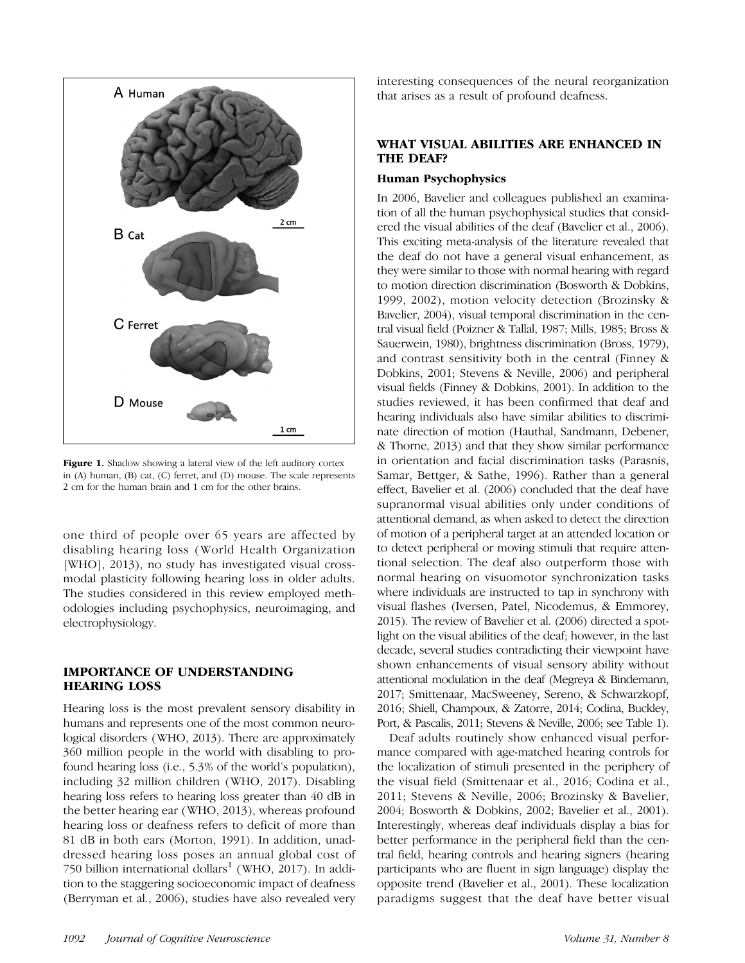

Figure 1. Shadow showing a lateral view of the left auditory cortex in (A) human, (B) cat, (C) ferret, and (D) mouse. The scale represents 2 cm for the human brain and 1 cm for the other brains.

one third of people over 65 years are affected by disabling hearing loss (World Health Organization [WHO], 2013), no study has investigated visual crossmodal plasticity following hearing loss in older adults. The studies considered in this review employed methodologies including psychophysics, neuroimaging, and electrophysiology.

# IMPORTANCE OF UNDERSTANDING HEARING LOSS

Hearing loss is the most prevalent sensory disability in humans and represents one of the most common neurological disorders (WHO, 2013). There are approximately 360 million people in the world with disabling to profound hearing loss (i.e., 5.3% of the world's population), including 32 million children (WHO, 2017). Disabling hearing loss refers to hearing loss greater than 40 dB in the better hearing ear (WHO, 2013), whereas profound hearing loss or deafness refers to deficit of more than 81 dB in both ears (Morton, 1991). In addition, unaddressed hearing loss poses an annual global cost of 750 billion international dollars<sup>1</sup> (WHO, 2017). In addition to the staggering socioeconomic impact of deafness (Berryman et al., 2006), studies have also revealed very

interesting consequences of the neural reorganization that arises as a result of profound deafness.

# WHAT VISUAL ABILITIES ARE ENHANCED IN THE DEAF?

# Human Psychophysics

In 2006, Bavelier and colleagues published an examination of all the human psychophysical studies that considered the visual abilities of the deaf (Bavelier et al., 2006). This exciting meta-analysis of the literature revealed that the deaf do not have a general visual enhancement, as they were similar to those with normal hearing with regard to motion direction discrimination (Bosworth & Dobkins, 1999, 2002), motion velocity detection (Brozinsky & Bavelier, 2004), visual temporal discrimination in the central visual field (Poizner & Tallal, 1987; Mills, 1985; Bross & Sauerwein, 1980), brightness discrimination (Bross, 1979), and contrast sensitivity both in the central (Finney & Dobkins, 2001; Stevens & Neville, 2006) and peripheral visual fields (Finney & Dobkins, 2001). In addition to the studies reviewed, it has been confirmed that deaf and hearing individuals also have similar abilities to discriminate direction of motion (Hauthal, Sandmann, Debener, & Thorne, 2013) and that they show similar performance in orientation and facial discrimination tasks (Parasnis, Samar, Bettger, & Sathe, 1996). Rather than a general effect, Bavelier et al. (2006) concluded that the deaf have supranormal visual abilities only under conditions of attentional demand, as when asked to detect the direction of motion of a peripheral target at an attended location or to detect peripheral or moving stimuli that require attentional selection. The deaf also outperform those with normal hearing on visuomotor synchronization tasks where individuals are instructed to tap in synchrony with visual flashes (Iversen, Patel, Nicodemus, & Emmorey, 2015). The review of Bavelier et al. (2006) directed a spotlight on the visual abilities of the deaf; however, in the last decade, several studies contradicting their viewpoint have shown enhancements of visual sensory ability without attentional modulation in the deaf (Megreya & Bindemann, 2017; Smittenaar, MacSweeney, Sereno, & Schwarzkopf, 2016; Shiell, Champoux, & Zatorre, 2014; Codina, Buckley, Port, & Pascalis, 2011; Stevens & Neville, 2006; see Table 1).

Deaf adults routinely show enhanced visual performance compared with age-matched hearing controls for the localization of stimuli presented in the periphery of the visual field (Smittenaar et al., 2016; Codina et al., 2011; Stevens & Neville, 2006; Brozinsky & Bavelier, 2004; Bosworth & Dobkins, 2002; Bavelier et al., 2001). Interestingly, whereas deaf individuals display a bias for better performance in the peripheral field than the central field, hearing controls and hearing signers (hearing participants who are fluent in sign language) display the opposite trend (Bavelier et al., 2001). These localization paradigms suggest that the deaf have better visual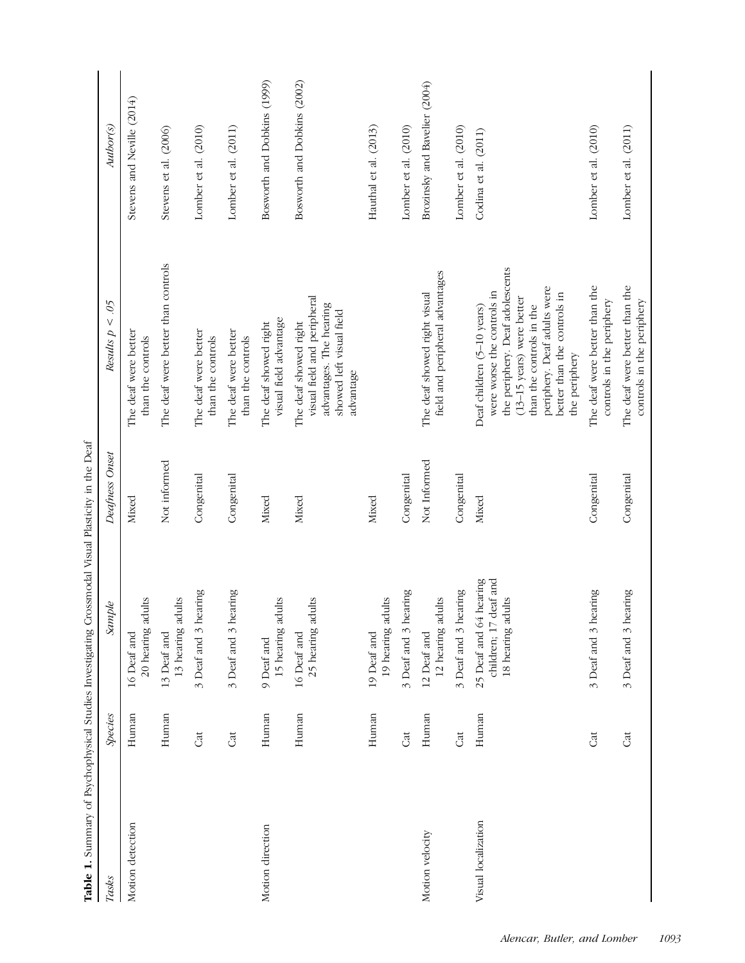| Tasks               | <b>Species</b> | Sample                                                               | Deafness Onset | Ś,<br>$\vee$<br>Results p                                                                                                                                                                                                                     | Author(s)                     |
|---------------------|----------------|----------------------------------------------------------------------|----------------|-----------------------------------------------------------------------------------------------------------------------------------------------------------------------------------------------------------------------------------------------|-------------------------------|
| Motion detection    | Human          | 20 hearing adults<br>16 Deaf and                                     | Mixed          | The deaf were better<br>than the controls                                                                                                                                                                                                     | Stevens and Neville (2014)    |
|                     | Human          | 13 hearing adults<br>13 Deaf and                                     | Not informed   | The deaf were better than controls                                                                                                                                                                                                            | Stevens et al. (2006)         |
|                     | Cat            | 3 Deaf and 3 hearing                                                 | Congenital     | The deaf were better<br>than the controls                                                                                                                                                                                                     | Lomber et al. (2010)          |
|                     | Cat            | 3 Deaf and 3 hearing                                                 | Congenital     | The deaf were better<br>than the controls                                                                                                                                                                                                     | Lomber et al. (2011)          |
| Motion direction    | Human          | 15 hearing adults<br>9 Deaf and                                      | Mixed          | visual field advantage<br>The deaf showed right                                                                                                                                                                                               | Bosworth and Dobkins (1999)   |
|                     | Human          | 25 hearing adults<br>16 Deaf and                                     | Mixed          | visual field and peripheral<br>advantages. The hearing<br>showed left visual field<br>The deaf showed right<br>advantage                                                                                                                      | Bosworth and Dobkins (2002)   |
|                     | Human          | 19 hearing adults<br>19 Deaf and                                     | Mixed          |                                                                                                                                                                                                                                               | Hauthal et al. (2013)         |
|                     | Cat            | 3 Deaf and 3 hearing                                                 | Congenital     |                                                                                                                                                                                                                                               | Lomber et al. (2010)          |
| Motion velocity     | Human          | 12 hearing adults<br>12 Deaf and                                     | Not Informed   | field and peripheral advantages<br>The deaf showed right visual                                                                                                                                                                               | Brozinsky and Bavelier (2004) |
|                     | Cat            | 3 Deaf and 3 hearing                                                 | Congenital     |                                                                                                                                                                                                                                               | Lomber et al. (2010)          |
| Visual localization | Human          | children; 17 deaf and<br>25 Deaf and 64 hearing<br>18 hearing adults | Mixed          | the periphery. Deaf adolescents<br>periphery. Deaf adults were<br>were worse the controls in<br>better than the controls in<br>$(13-15 \text{ years})$ were better<br>than the controls in the<br>Deaf children (5-10 years)<br>the periphery | Codina et al. (2011)          |
|                     | Cat            | 3 Deaf and 3 hearing                                                 | Congenital     | The deaf were better than the<br>controls in the periphery                                                                                                                                                                                    | Lomber et al. (2010)          |
|                     | Cat            | 3 Deaf and 3 hearing                                                 | Congenital     | The deaf were better than the<br>controls in the periphery                                                                                                                                                                                    | Lomber et al. (2011)          |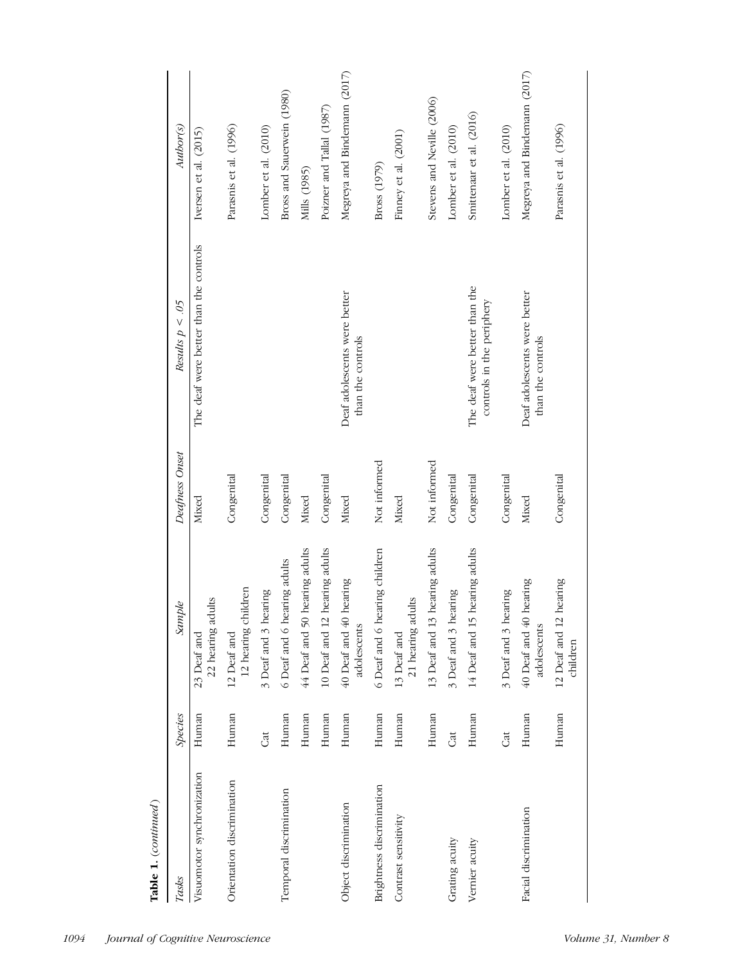| Tasks                      | Species | Sample                                       | Deafness Onset | Results $p < .05$                                          | Author(s)                    |
|----------------------------|---------|----------------------------------------------|----------------|------------------------------------------------------------|------------------------------|
| Visuomotor synchronization | Human   | 22 hearing adults<br>23 Deaf and             | Mixed          | The deaf were better than the controls                     | Iversen et al. $(2015)$      |
| Orientation discrimination | Human   | 12 hearing children<br>12 Deaf and           | Congenital     |                                                            | Parasnis et al. (1996)       |
|                            | Gt      | 3 Deaf and 3 hearing                         | Congenital     |                                                            | Lomber et al. (2010)         |
| Temporal discrimination    | Human   | 6 Deaf and 6 hearing adults                  | Congenital     |                                                            | Bross and Sauerwein (1980)   |
|                            | Human   | hearing adults<br>44 Deaf and 50             | Mixed          |                                                            | Mills (1985)                 |
|                            | Human   | hearing adults<br>10 Deaf and 12             | Congenital     |                                                            | Poizner and Tallal (1987)    |
| Object discrimination      | Human   | hearing<br>$40$ Deaf and $40$<br>adolescents | Mixed          | Deaf adolescents were better<br>than the controls          | Megreya and Bindemann (2017) |
| Brightness discrimination  | Human   | 6 Deaf and 6 hearing children                | Not informed   |                                                            | Bross (1979)                 |
| Contrast sensitivity       | Human   | 21 hearing adults<br>13 Deaf and             | Mixed          |                                                            | Finney et al. (2001)         |
|                            | Human   | hearing adults<br>$13$ Deaf and $13\,$       | Not informed   |                                                            | Stevens and Neville (2006)   |
| Grating acuity             | đ       | 3 Deaf and 3 hearing                         | Congenital     |                                                            | Lomber et al. (2010)         |
| Vernier acuity             | Human   | hearing adults<br>14 Deaf and 15             | Congenital     | The deaf were better than the<br>controls in the periphery | Smittenaar et al. (2016)     |
|                            | Cat     | 3 Deaf and 3 hearing                         | Congenital     |                                                            | Lomber et al. (2010)         |
| Facial discrimination      | Human   | hearing<br>$40$ Deaf and $40$<br>adolescents | Mixed          | Deaf adolescents were better<br>than the controls          | Megreya and Bindemann (2017) |
|                            | Human   | hearing<br>12 Deaf and 12<br>children        | Congenital     |                                                            | Parasnis et al. (1996)       |

Table 1. (continued)

Table 1.  $\left( continued\right)$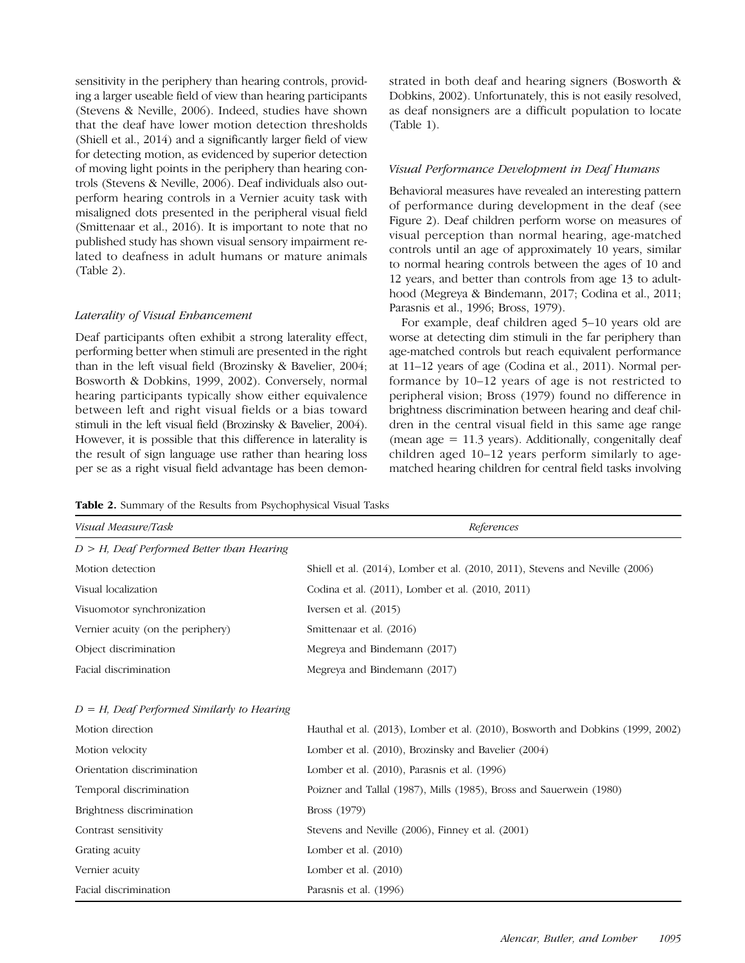sensitivity in the periphery than hearing controls, providing a larger useable field of view than hearing participants (Stevens & Neville, 2006). Indeed, studies have shown that the deaf have lower motion detection thresholds (Shiell et al., 2014) and a significantly larger field of view for detecting motion, as evidenced by superior detection of moving light points in the periphery than hearing controls (Stevens & Neville, 2006). Deaf individuals also outperform hearing controls in a Vernier acuity task with misaligned dots presented in the peripheral visual field (Smittenaar et al., 2016). It is important to note that no published study has shown visual sensory impairment related to deafness in adult humans or mature animals (Table 2).

# Laterality of Visual Enhancement

Deaf participants often exhibit a strong laterality effect, performing better when stimuli are presented in the right than in the left visual field (Brozinsky & Bavelier, 2004; Bosworth & Dobkins, 1999, 2002). Conversely, normal hearing participants typically show either equivalence between left and right visual fields or a bias toward stimuli in the left visual field (Brozinsky & Bavelier, 2004). However, it is possible that this difference in laterality is the result of sign language use rather than hearing loss per se as a right visual field advantage has been demon-

strated in both deaf and hearing signers (Bosworth & Dobkins, 2002). Unfortunately, this is not easily resolved, as deaf nonsigners are a difficult population to locate (Table 1).

# Visual Performance Development in Deaf Humans

Behavioral measures have revealed an interesting pattern of performance during development in the deaf (see Figure 2). Deaf children perform worse on measures of visual perception than normal hearing, age-matched controls until an age of approximately 10 years, similar to normal hearing controls between the ages of 10 and 12 years, and better than controls from age 13 to adulthood (Megreya & Bindemann, 2017; Codina et al., 2011; Parasnis et al., 1996; Bross, 1979).

For example, deaf children aged 5–10 years old are worse at detecting dim stimuli in the far periphery than age-matched controls but reach equivalent performance at 11–12 years of age (Codina et al., 2011). Normal performance by 10–12 years of age is not restricted to peripheral vision; Bross (1979) found no difference in brightness discrimination between hearing and deaf children in the central visual field in this same age range (mean age  $= 11.3$  years). Additionally, congenitally deaf children aged 10–12 years perform similarly to agematched hearing children for central field tasks involving

|  |  | Table 2. Summary of the Results from Psychophysical Visual Tasks |  |  |
|--|--|------------------------------------------------------------------|--|--|
|  |  |                                                                  |  |  |

| Visual Measure/Task                           | References                                                                           |
|-----------------------------------------------|--------------------------------------------------------------------------------------|
| $D > H$ , Deaf Performed Better than Hearing  |                                                                                      |
| Motion detection                              | Shiell et al. $(2014)$ , Lomber et al. $(2010, 2011)$ , Stevens and Neville $(2006)$ |
| Visual localization                           | Codina et al. (2011), Lomber et al. (2010, 2011)                                     |
| Visuomotor synchronization                    | Iversen et al. $(2015)$                                                              |
| Vernier acuity (on the periphery)             | Smittenaar et al. (2016)                                                             |
| Object discrimination                         | Megreya and Bindemann (2017)                                                         |
| Facial discrimination                         | Megreya and Bindemann (2017)                                                         |
| $D = H$ , Deaf Performed Similarly to Hearing |                                                                                      |
| Motion direction                              | Hauthal et al. (2013), Lomber et al. (2010), Bosworth and Dobkins (1999, 2002)       |
| Motion velocity                               | Lomber et al. (2010), Brozinsky and Bavelier (2004)                                  |

| Motion velocity            | Lomber et al. (2010), Brozinsky and Bavelier (2004)                 |
|----------------------------|---------------------------------------------------------------------|
| Orientation discrimination | Lomber et al. (2010), Parasnis et al. (1996)                        |
| Temporal discrimination    | Poizner and Tallal (1987), Mills (1985), Bross and Sauerwein (1980) |
| Brightness discrimination  | Bross (1979)                                                        |
| Contrast sensitivity       | Stevens and Neville (2006), Finney et al. (2001)                    |
| Grating acuity             | Lomber et al. $(2010)$                                              |
| Vernier acuity             | Lomber et al. $(2010)$                                              |
| Facial discrimination      | Parasnis et al. (1996)                                              |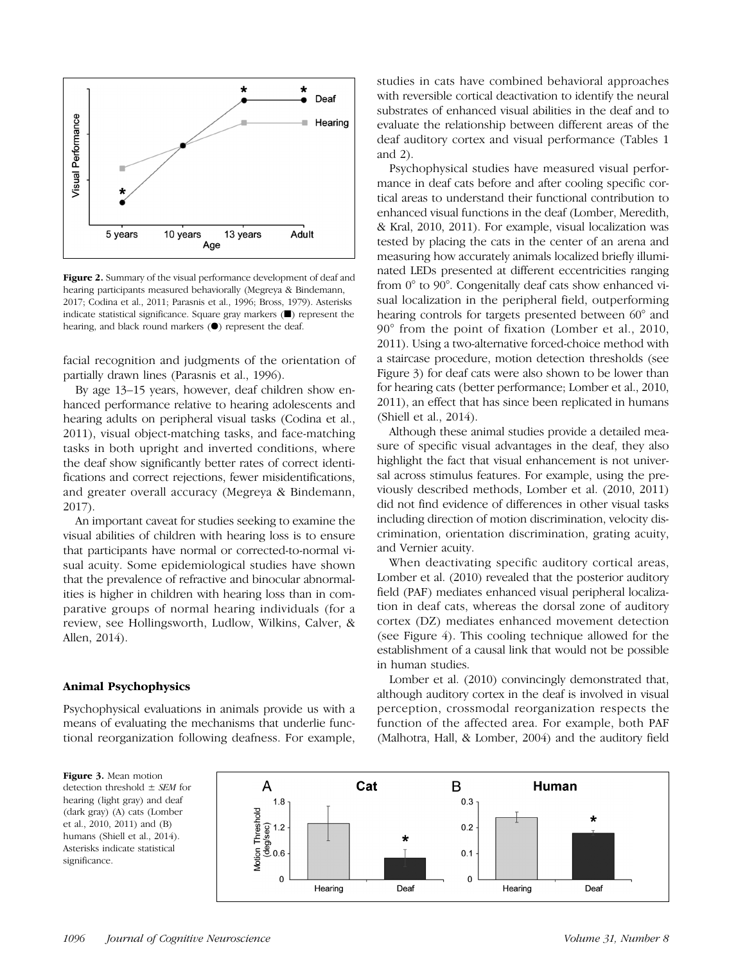

Figure 2. Summary of the visual performance development of deaf and hearing participants measured behaviorally (Megreya & Bindemann, 2017; Codina et al., 2011; Parasnis et al., 1996; Bross, 1979). Asterisks indicate statistical significance. Square gray markers (■) represent the hearing, and black round markers (●) represent the deaf.

facial recognition and judgments of the orientation of partially drawn lines (Parasnis et al., 1996).

By age 13–15 years, however, deaf children show enhanced performance relative to hearing adolescents and hearing adults on peripheral visual tasks (Codina et al., 2011), visual object-matching tasks, and face-matching tasks in both upright and inverted conditions, where the deaf show significantly better rates of correct identifications and correct rejections, fewer misidentifications, and greater overall accuracy (Megreya & Bindemann, 2017).

An important caveat for studies seeking to examine the visual abilities of children with hearing loss is to ensure that participants have normal or corrected-to-normal visual acuity. Some epidemiological studies have shown that the prevalence of refractive and binocular abnormalities is higher in children with hearing loss than in comparative groups of normal hearing individuals (for a review, see Hollingsworth, Ludlow, Wilkins, Calver, & Allen, 2014).

#### Animal Psychophysics

Psychophysical evaluations in animals provide us with a means of evaluating the mechanisms that underlie functional reorganization following deafness. For example,

studies in cats have combined behavioral approaches with reversible cortical deactivation to identify the neural substrates of enhanced visual abilities in the deaf and to evaluate the relationship between different areas of the deaf auditory cortex and visual performance (Tables 1 and 2).

Psychophysical studies have measured visual performance in deaf cats before and after cooling specific cortical areas to understand their functional contribution to enhanced visual functions in the deaf (Lomber, Meredith, & Kral, 2010, 2011). For example, visual localization was tested by placing the cats in the center of an arena and measuring how accurately animals localized briefly illuminated LEDs presented at different eccentricities ranging from 0° to 90°. Congenitally deaf cats show enhanced visual localization in the peripheral field, outperforming hearing controls for targets presented between 60° and 90° from the point of fixation (Lomber et al., 2010, 2011). Using a two-alternative forced-choice method with a staircase procedure, motion detection thresholds (see Figure 3) for deaf cats were also shown to be lower than for hearing cats (better performance; Lomber et al., 2010, 2011), an effect that has since been replicated in humans (Shiell et al., 2014).

Although these animal studies provide a detailed measure of specific visual advantages in the deaf, they also highlight the fact that visual enhancement is not universal across stimulus features. For example, using the previously described methods, Lomber et al. (2010, 2011) did not find evidence of differences in other visual tasks including direction of motion discrimination, velocity discrimination, orientation discrimination, grating acuity, and Vernier acuity.

When deactivating specific auditory cortical areas, Lomber et al. (2010) revealed that the posterior auditory field (PAF) mediates enhanced visual peripheral localization in deaf cats, whereas the dorsal zone of auditory cortex (DZ) mediates enhanced movement detection (see Figure 4). This cooling technique allowed for the establishment of a causal link that would not be possible in human studies.

Lomber et al. (2010) convincingly demonstrated that, although auditory cortex in the deaf is involved in visual perception, crossmodal reorganization respects the function of the affected area. For example, both PAF (Malhotra, Hall, & Lomber, 2004) and the auditory field

Figure 3. Mean motion detection threshold  $\pm$  SEM for hearing (light gray) and deaf (dark gray) (A) cats (Lomber et al., 2010, 2011) and (B) humans (Shiell et al., 2014). Asterisks indicate statistical significance.

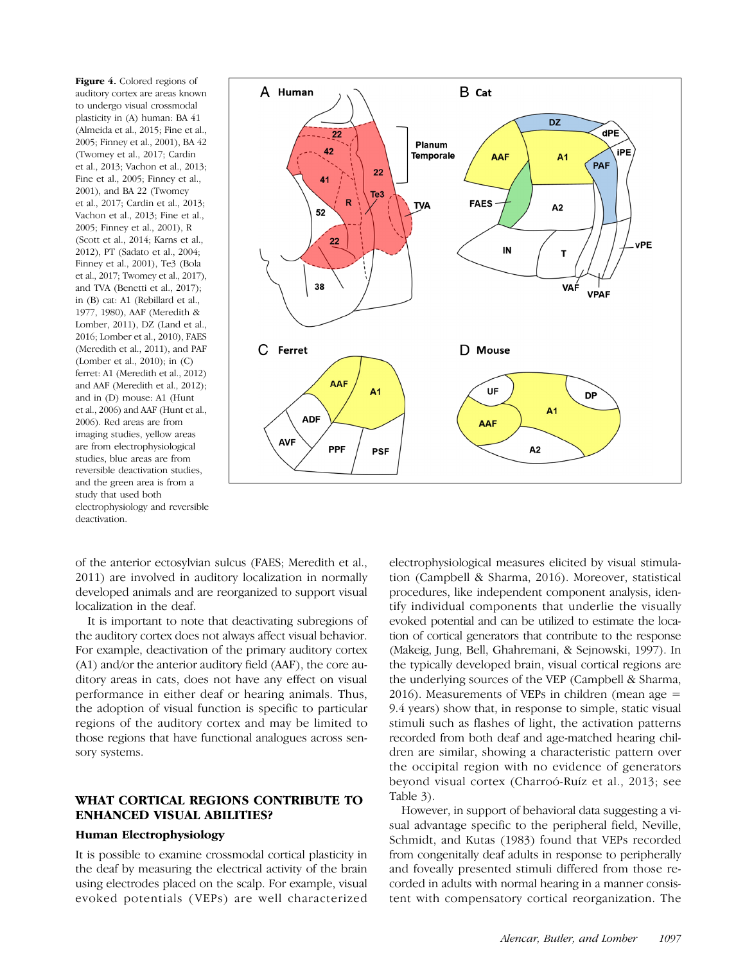Figure 4. Colored regions of auditory cortex are areas known to undergo visual crossmodal plasticity in (A) human: BA 41 (Almeida et al., 2015; Fine et al., 2005; Finney et al., 2001), BA 42 (Twomey et al., 2017; Cardin et al., 2013; Vachon et al., 2013; Fine et al., 2005; Finney et al., 2001), and BA 22 (Twomey et al., 2017; Cardin et al., 2013; Vachon et al., 2013; Fine et al., 2005; Finney et al., 2001), R (Scott et al., 2014; Karns et al., 2012), PT (Sadato et al., 2004; Finney et al., 2001), Te3 (Bola et al., 2017; Twomey et al., 2017), and TVA (Benetti et al., 2017); in (B) cat: A1 (Rebillard et al., 1977, 1980), AAF (Meredith & Lomber, 2011), DZ (Land et al., 2016; Lomber et al., 2010), FAES (Meredith et al., 2011), and PAF (Lomber et al., 2010); in (C) ferret: A1 (Meredith et al., 2012) and AAF (Meredith et al., 2012); and in (D) mouse: A1 (Hunt et al., 2006) and AAF (Hunt et al., 2006). Red areas are from imaging studies, yellow areas are from electrophysiological studies, blue areas are from reversible deactivation studies, and the green area is from a study that used both electrophysiology and reversible deactivation.



of the anterior ectosylvian sulcus (FAES; Meredith et al., 2011) are involved in auditory localization in normally developed animals and are reorganized to support visual localization in the deaf.

It is important to note that deactivating subregions of the auditory cortex does not always affect visual behavior. For example, deactivation of the primary auditory cortex (A1) and/or the anterior auditory field (AAF), the core auditory areas in cats, does not have any effect on visual performance in either deaf or hearing animals. Thus, the adoption of visual function is specific to particular regions of the auditory cortex and may be limited to those regions that have functional analogues across sensory systems.

# WHAT CORTICAL REGIONS CONTRIBUTE TO ENHANCED VISUAL ABILITIES?

#### Human Electrophysiology

It is possible to examine crossmodal cortical plasticity in the deaf by measuring the electrical activity of the brain using electrodes placed on the scalp. For example, visual evoked potentials (VEPs) are well characterized

electrophysiological measures elicited by visual stimulation (Campbell & Sharma, 2016). Moreover, statistical procedures, like independent component analysis, identify individual components that underlie the visually evoked potential and can be utilized to estimate the location of cortical generators that contribute to the response (Makeig, Jung, Bell, Ghahremani, & Sejnowski, 1997). In the typically developed brain, visual cortical regions are the underlying sources of the VEP (Campbell & Sharma,  $2016$ ). Measurements of VEPs in children (mean age  $=$ 9.4 years) show that, in response to simple, static visual stimuli such as flashes of light, the activation patterns recorded from both deaf and age-matched hearing children are similar, showing a characteristic pattern over the occipital region with no evidence of generators beyond visual cortex (Charroó-Ruíz et al., 2013; see Table 3).

However, in support of behavioral data suggesting a visual advantage specific to the peripheral field, Neville, Schmidt, and Kutas (1983) found that VEPs recorded from congenitally deaf adults in response to peripherally and foveally presented stimuli differed from those recorded in adults with normal hearing in a manner consistent with compensatory cortical reorganization. The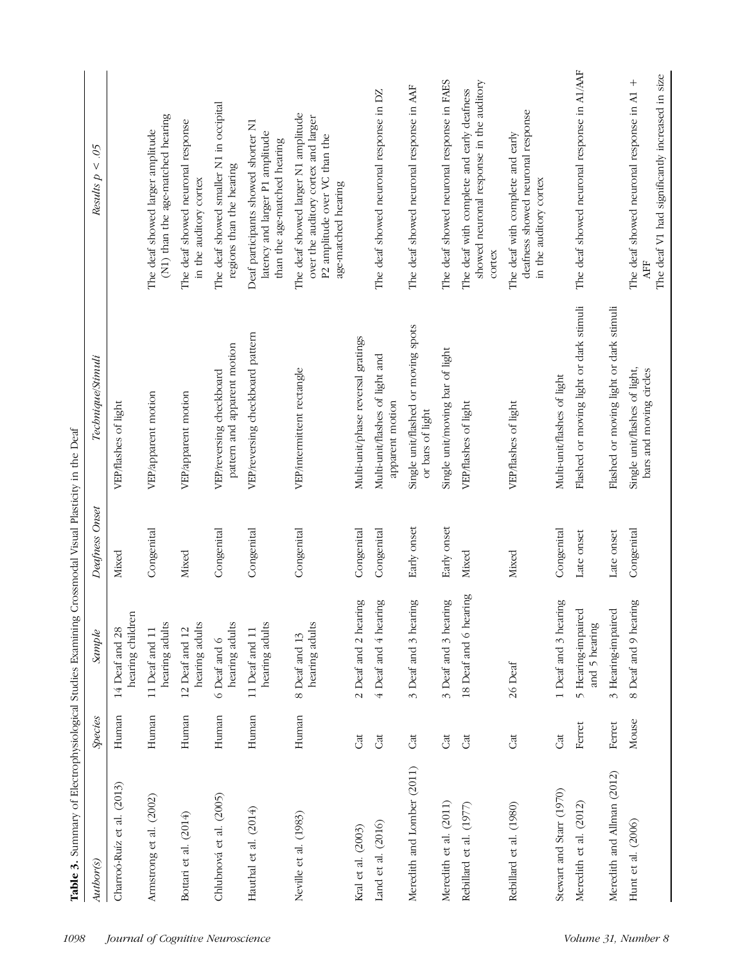|                            |         | ó                                   |                |                                                          |                                                                                                                                    |
|----------------------------|---------|-------------------------------------|----------------|----------------------------------------------------------|------------------------------------------------------------------------------------------------------------------------------------|
| Author(s)                  | Species | Sample                              | Deafness Onset | Technique/Stimuli                                        | Results $p < .05$                                                                                                                  |
| Charroó-Ruíz et al. (2013) | Human   | hearing children<br>14 Deaf and 28  | Mixed          | VEP/flashes of light                                     |                                                                                                                                    |
| Armstrong et al. (2002)    | Human   | hearing adults<br>11 Deaf and 11    | Congenital     | VEP/apparent motion                                      | (N1) than the age-matched hearing<br>The deaf showed larger amplitude                                                              |
| Bottari et al. (2014)      | Human   | hearing adults<br>12 Deaf and 12    | Mixed          | VEP/apparent motion                                      | The deaf showed neuronal response<br>in the auditory cortex                                                                        |
| Chlubnová et al. (2005)    | Human   | hearing adults<br>6 Deaf and 6      | Congenital     | pattern and apparent motion<br>VEP/reversing checkboard  | The deaf showed smaller N1 in occipital<br>regions than the hearing                                                                |
| Hauthal et al. (2014)      | Human   | hearing adults<br>11 Deaf and 11    | Congenital     | VEP/reversing checkboard pattern                         | Deaf participants showed shorter N1<br>latency and larger P1 amplitude<br>than the age-matched hearing                             |
| Neville et al. (1983)      | Human   | hearing adults<br>8 Deaf and 13     | Congenital     | VEP/intermittent rectangle                               | The deaf showed larger N1 amplitude<br>over the auditory cortex and larger<br>P2 amplitude over VC than the<br>age-matched hearing |
| Kral et al. (2003)         | Cat     | 2 Deaf and 2 hearing                | Congenital     | Multi-unit/phase reversal gratings                       |                                                                                                                                    |
| Land et al. (2016)         | Cat     | 4 Deaf and 4 hearing                | Congenital     | Multi-unit/flashes of light and<br>apparent motion       | The deaf showed neuronal response in DZ                                                                                            |
| Meredith and Lomber (2011) | Cat     | 3 Deaf and 3 hearing                | Early onset    | Single unit/flashed or moving spots<br>or bars of light  | The deaf showed neuronal response in AAF                                                                                           |
| Meredith et al. (2011)     | Cat     | 3 Deaf and 3 hearing                | Early onset    | Single unit/moving bar of light                          | The deaf showed neuronal response in FAES                                                                                          |
| Rebillard et al. (1977)    | Cat     | 18 Deaf and 6 hearing               | Mixed          | VEP/flashes of light                                     | showed neuronal response in the auditory<br>The deaf with complete and early deafness<br>cortex                                    |
| Rebillard et al. (1980)    | Cat     | 26 Deaf                             | Mixed          | VEP/flashes of light                                     | deafness showed neuronal response<br>The deaf with complete and early<br>in the auditory cortex                                    |
| Stewart and Starr (1970)   | Cat     | 1 Deaf and 3 hearing                | Congenital     | Multi-unit/flashes of light                              |                                                                                                                                    |
| Meredith et al. (2012)     | Ferret  | 5 Hearing-impaired<br>and 5 hearing | Late onset     | Flashed or moving light or dark stimuli                  | The deaf showed neuronal response in A1/AAF                                                                                        |
| Meredith and Allman (2012) | Ferret  | 3 Hearing-impaired                  | Late onset     | Flashed or moving light or dark stimuli                  |                                                                                                                                    |
| Hunt et al. $(2006)$       | Mouse   | 8 Deaf and 9 hearing                | Congenital     | Single unit/flashes of light,<br>bars and moving circles | The deaf V1 had significantly increased in size<br>$^{+}$<br>The deaf showed neuronal response in A1                               |

Table 3. Summary of Electrophysiological Studies Examining Crossmodal Visual Plasticity in the Deaf Table 3. Summary of Electrophysiological Studies Examining Crossmodal Visual Plasticity in the Deaf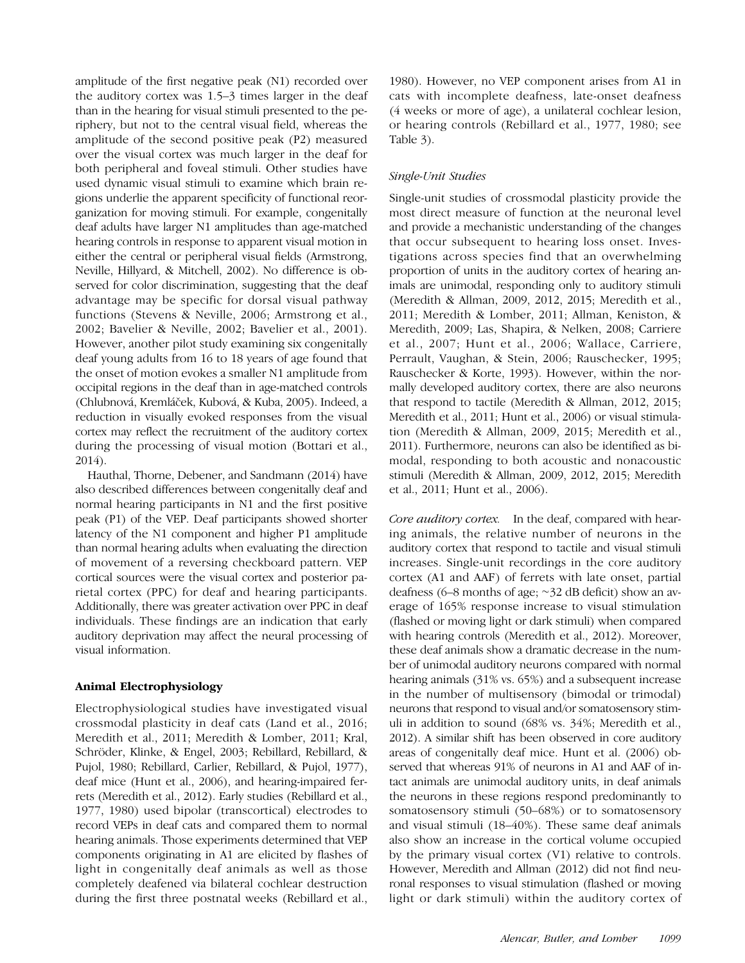amplitude of the first negative peak (N1) recorded over the auditory cortex was 1.5–3 times larger in the deaf than in the hearing for visual stimuli presented to the periphery, but not to the central visual field, whereas the amplitude of the second positive peak (P2) measured over the visual cortex was much larger in the deaf for both peripheral and foveal stimuli. Other studies have used dynamic visual stimuli to examine which brain regions underlie the apparent specificity of functional reorganization for moving stimuli. For example, congenitally deaf adults have larger N1 amplitudes than age-matched hearing controls in response to apparent visual motion in either the central or peripheral visual fields (Armstrong, Neville, Hillyard, & Mitchell, 2002). No difference is observed for color discrimination, suggesting that the deaf advantage may be specific for dorsal visual pathway functions (Stevens & Neville, 2006; Armstrong et al., 2002; Bavelier & Neville, 2002; Bavelier et al., 2001). However, another pilot study examining six congenitally deaf young adults from 16 to 18 years of age found that the onset of motion evokes a smaller N1 amplitude from occipital regions in the deaf than in age-matched controls (Chlubnová, Kremláček, Kubová, & Kuba, 2005). Indeed, a reduction in visually evoked responses from the visual cortex may reflect the recruitment of the auditory cortex during the processing of visual motion (Bottari et al., 2014).

Hauthal, Thorne, Debener, and Sandmann (2014) have also described differences between congenitally deaf and normal hearing participants in N1 and the first positive peak (P1) of the VEP. Deaf participants showed shorter latency of the N1 component and higher P1 amplitude than normal hearing adults when evaluating the direction of movement of a reversing checkboard pattern. VEP cortical sources were the visual cortex and posterior parietal cortex (PPC) for deaf and hearing participants. Additionally, there was greater activation over PPC in deaf individuals. These findings are an indication that early auditory deprivation may affect the neural processing of visual information.

# Animal Electrophysiology

Electrophysiological studies have investigated visual crossmodal plasticity in deaf cats (Land et al., 2016; Meredith et al., 2011; Meredith & Lomber, 2011; Kral, Schröder, Klinke, & Engel, 2003; Rebillard, Rebillard, & Pujol, 1980; Rebillard, Carlier, Rebillard, & Pujol, 1977), deaf mice (Hunt et al., 2006), and hearing-impaired ferrets (Meredith et al., 2012). Early studies (Rebillard et al., 1977, 1980) used bipolar (transcortical) electrodes to record VEPs in deaf cats and compared them to normal hearing animals. Those experiments determined that VEP components originating in A1 are elicited by flashes of light in congenitally deaf animals as well as those completely deafened via bilateral cochlear destruction during the first three postnatal weeks (Rebillard et al.,

1980). However, no VEP component arises from A1 in cats with incomplete deafness, late-onset deafness (4 weeks or more of age), a unilateral cochlear lesion, or hearing controls (Rebillard et al., 1977, 1980; see Table 3).

# Single-Unit Studies

Single-unit studies of crossmodal plasticity provide the most direct measure of function at the neuronal level and provide a mechanistic understanding of the changes that occur subsequent to hearing loss onset. Investigations across species find that an overwhelming proportion of units in the auditory cortex of hearing animals are unimodal, responding only to auditory stimuli (Meredith & Allman, 2009, 2012, 2015; Meredith et al., 2011; Meredith & Lomber, 2011; Allman, Keniston, & Meredith, 2009; Las, Shapira, & Nelken, 2008; Carriere et al., 2007; Hunt et al., 2006; Wallace, Carriere, Perrault, Vaughan, & Stein, 2006; Rauschecker, 1995; Rauschecker & Korte, 1993). However, within the normally developed auditory cortex, there are also neurons that respond to tactile (Meredith & Allman, 2012, 2015; Meredith et al., 2011; Hunt et al., 2006) or visual stimulation (Meredith & Allman, 2009, 2015; Meredith et al., 2011). Furthermore, neurons can also be identified as bimodal, responding to both acoustic and nonacoustic stimuli (Meredith & Allman, 2009, 2012, 2015; Meredith et al., 2011; Hunt et al., 2006).

Core auditory cortex. In the deaf, compared with hearing animals, the relative number of neurons in the auditory cortex that respond to tactile and visual stimuli increases. Single-unit recordings in the core auditory cortex (A1 and AAF) of ferrets with late onset, partial deafness (6–8 months of age; ∼32 dB deficit) show an average of 165% response increase to visual stimulation (flashed or moving light or dark stimuli) when compared with hearing controls (Meredith et al., 2012). Moreover, these deaf animals show a dramatic decrease in the number of unimodal auditory neurons compared with normal hearing animals (31% vs. 65%) and a subsequent increase in the number of multisensory (bimodal or trimodal) neurons that respond to visual and/or somatosensory stimuli in addition to sound (68% vs. 34%; Meredith et al., 2012). A similar shift has been observed in core auditory areas of congenitally deaf mice. Hunt et al. (2006) observed that whereas 91% of neurons in A1 and AAF of intact animals are unimodal auditory units, in deaf animals the neurons in these regions respond predominantly to somatosensory stimuli (50–68%) or to somatosensory and visual stimuli (18–40%). These same deaf animals also show an increase in the cortical volume occupied by the primary visual cortex (V1) relative to controls. However, Meredith and Allman (2012) did not find neuronal responses to visual stimulation (flashed or moving light or dark stimuli) within the auditory cortex of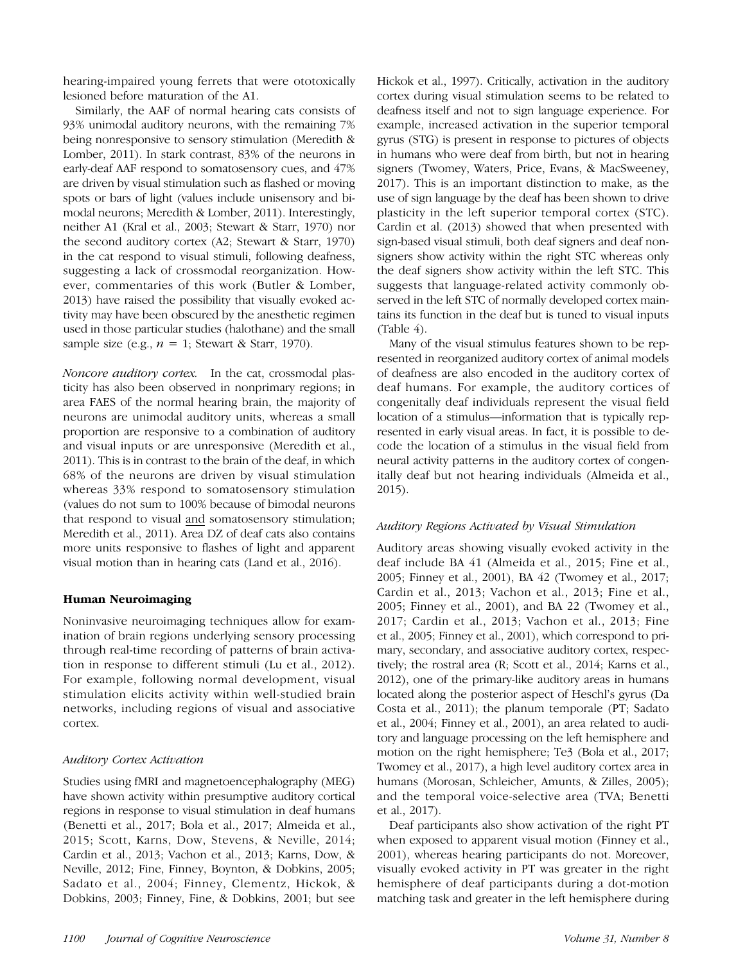hearing-impaired young ferrets that were ototoxically lesioned before maturation of the A1.

Similarly, the AAF of normal hearing cats consists of 93% unimodal auditory neurons, with the remaining 7% being nonresponsive to sensory stimulation (Meredith & Lomber, 2011). In stark contrast, 83% of the neurons in early-deaf AAF respond to somatosensory cues, and 47% are driven by visual stimulation such as flashed or moving spots or bars of light (values include unisensory and bimodal neurons; Meredith & Lomber, 2011). Interestingly, neither A1 (Kral et al., 2003; Stewart & Starr, 1970) nor the second auditory cortex (A2; Stewart & Starr, 1970) in the cat respond to visual stimuli, following deafness, suggesting a lack of crossmodal reorganization. However, commentaries of this work (Butler & Lomber, 2013) have raised the possibility that visually evoked activity may have been obscured by the anesthetic regimen used in those particular studies (halothane) and the small sample size (e.g.,  $n = 1$ ; Stewart & Starr, 1970).

Noncore auditory cortex. In the cat, crossmodal plasticity has also been observed in nonprimary regions; in area FAES of the normal hearing brain, the majority of neurons are unimodal auditory units, whereas a small proportion are responsive to a combination of auditory and visual inputs or are unresponsive (Meredith et al., 2011). This is in contrast to the brain of the deaf, in which 68% of the neurons are driven by visual stimulation whereas 33% respond to somatosensory stimulation (values do not sum to 100% because of bimodal neurons that respond to visual and somatosensory stimulation; Meredith et al., 2011). Area DZ of deaf cats also contains more units responsive to flashes of light and apparent visual motion than in hearing cats (Land et al., 2016).

#### Human Neuroimaging

Noninvasive neuroimaging techniques allow for examination of brain regions underlying sensory processing through real-time recording of patterns of brain activation in response to different stimuli (Lu et al., 2012). For example, following normal development, visual stimulation elicits activity within well-studied brain networks, including regions of visual and associative cortex.

#### Auditory Cortex Activation

Studies using fMRI and magnetoencephalography (MEG) have shown activity within presumptive auditory cortical regions in response to visual stimulation in deaf humans (Benetti et al., 2017; Bola et al., 2017; Almeida et al., 2015; Scott, Karns, Dow, Stevens, & Neville, 2014; Cardin et al., 2013; Vachon et al., 2013; Karns, Dow, & Neville, 2012; Fine, Finney, Boynton, & Dobkins, 2005; Sadato et al., 2004; Finney, Clementz, Hickok, & Dobkins, 2003; Finney, Fine, & Dobkins, 2001; but see

Hickok et al., 1997). Critically, activation in the auditory cortex during visual stimulation seems to be related to deafness itself and not to sign language experience. For example, increased activation in the superior temporal gyrus (STG) is present in response to pictures of objects in humans who were deaf from birth, but not in hearing signers (Twomey, Waters, Price, Evans, & MacSweeney, 2017). This is an important distinction to make, as the use of sign language by the deaf has been shown to drive plasticity in the left superior temporal cortex (STC). Cardin et al. (2013) showed that when presented with sign-based visual stimuli, both deaf signers and deaf nonsigners show activity within the right STC whereas only the deaf signers show activity within the left STC. This suggests that language-related activity commonly observed in the left STC of normally developed cortex maintains its function in the deaf but is tuned to visual inputs  $(Table 4)$ .

Many of the visual stimulus features shown to be represented in reorganized auditory cortex of animal models of deafness are also encoded in the auditory cortex of deaf humans. For example, the auditory cortices of congenitally deaf individuals represent the visual field location of a stimulus—information that is typically represented in early visual areas. In fact, it is possible to decode the location of a stimulus in the visual field from neural activity patterns in the auditory cortex of congenitally deaf but not hearing individuals (Almeida et al., 2015).

#### Auditory Regions Activated by Visual Stimulation

Auditory areas showing visually evoked activity in the deaf include BA 41 (Almeida et al., 2015; Fine et al., 2005; Finney et al., 2001), BA 42 (Twomey et al., 2017; Cardin et al., 2013; Vachon et al., 2013; Fine et al., 2005; Finney et al., 2001), and BA 22 (Twomey et al., 2017; Cardin et al., 2013; Vachon et al., 2013; Fine et al., 2005; Finney et al., 2001), which correspond to primary, secondary, and associative auditory cortex, respectively; the rostral area (R; Scott et al., 2014; Karns et al., 2012), one of the primary-like auditory areas in humans located along the posterior aspect of Heschl's gyrus (Da Costa et al., 2011); the planum temporale (PT; Sadato et al., 2004; Finney et al., 2001), an area related to auditory and language processing on the left hemisphere and motion on the right hemisphere; Te3 (Bola et al., 2017; Twomey et al., 2017), a high level auditory cortex area in humans (Morosan, Schleicher, Amunts, & Zilles, 2005); and the temporal voice-selective area (TVA; Benetti et al., 2017).

Deaf participants also show activation of the right PT when exposed to apparent visual motion (Finney et al., 2001), whereas hearing participants do not. Moreover, visually evoked activity in PT was greater in the right hemisphere of deaf participants during a dot-motion matching task and greater in the left hemisphere during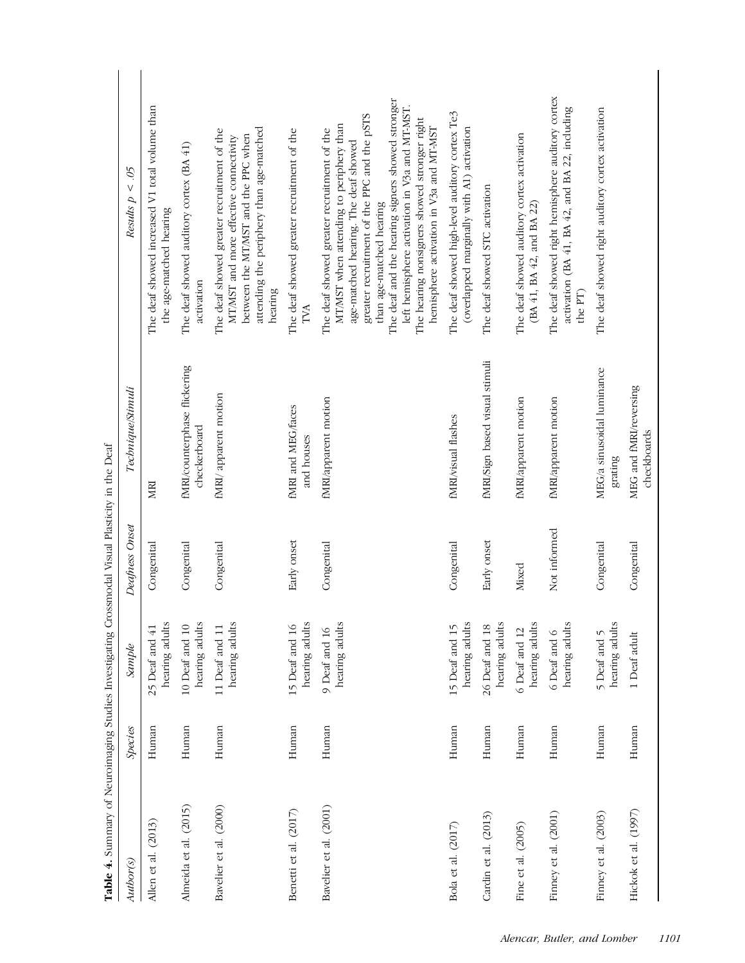| <b>THREE FIRE THE VEHICLE TO THE PRODUCT OF THE VEHICLE SHIPSET CONTRIBUTION CONTRIBUTION</b> |         |                                  |                |                                              |                                                                                                                                                                                                                                                                                                                                                                                                          |
|-----------------------------------------------------------------------------------------------|---------|----------------------------------|----------------|----------------------------------------------|----------------------------------------------------------------------------------------------------------------------------------------------------------------------------------------------------------------------------------------------------------------------------------------------------------------------------------------------------------------------------------------------------------|
| Author(s)                                                                                     | Species | Sample                           | Deafness Onset | Technique/Stimuli                            | 50<<br>Results p                                                                                                                                                                                                                                                                                                                                                                                         |
| Allen et al. (2013)                                                                           | Human   | hearing adults<br>25 Deaf and 41 | Congenital     | MRI                                          | The deaf showed increased V1 total volume than<br>the age-matched hearing                                                                                                                                                                                                                                                                                                                                |
| Almeida et al. (2015)                                                                         | Human   | hearing adults<br>10 Deaf and 10 | Congenital     | fMRI/counterphase flickering<br>checkerboard | The deaf showed auditory cortex (BA 41)<br>activation                                                                                                                                                                                                                                                                                                                                                    |
| Bavelier et al. (2000)                                                                        | Human   | hearing adults<br>11 Deaf and 11 | Congenital     | fMRI/apparent motion                         | attending the periphery than age-matched<br>The deaf showed greater recruitment of the<br>between the MT/MST and the PPC when<br>MT/MST and more effective connectivity<br>hearing                                                                                                                                                                                                                       |
| Benetti et al. (2017)                                                                         | Human   | hearing adults<br>15 Deaf and 16 | Early onset    | fMRI and MEG/faces<br>and houses             | The deaf showed greater recruitment of the<br>TVA                                                                                                                                                                                                                                                                                                                                                        |
| Bavelier et al. (2001)                                                                        | Human   | hearing adults<br>9 Deaf and 16  | Congenital     | fMRI/apparent motion                         | The deaf and the hearing signers showed stronger<br>left hemisphere activation in V3a and MT-MST.<br>greater recruitment of the PPC and the pSTS<br>The hearing nonsigners showed stronger right<br>MT/MST when attending to periphery than<br>hemisphere activation in V3a and MT-MST<br>The deaf showed greater recruitment of the<br>age-matched hearing. The deaf showed<br>than age-matched hearing |
| Bola et al. (2017)                                                                            | Human   | hearing adults<br>15 Deaf and 15 | Congenital     | fMRI/visual flashes                          | The deaf showed high-level auditory cortex Te3<br>(overlapped marginally with A1) activation                                                                                                                                                                                                                                                                                                             |
| Cardin et al. (2013)                                                                          | Human   | hearing adults<br>26 Deaf and 18 | Early onset    | fMRI/Sign based visual stimuli               | The deaf showed STC activation                                                                                                                                                                                                                                                                                                                                                                           |
| Fine et al. (2005)                                                                            | Human   | hearing adults<br>6 Deaf and 12  | Mixed          | fMRI/apparent motion                         | The deaf showed auditory cortex activation<br>(BA 41, BA 42, and BA 22)                                                                                                                                                                                                                                                                                                                                  |
| Finney et al. (2001)                                                                          | Human   | hearing adults<br>6 Deaf and 6   | Not informed   | fMRI/apparent motion                         | The deaf showed right hemisphere auditory cortex<br>activation (BA 41, BA 42, and BA 22, including<br>the PT)                                                                                                                                                                                                                                                                                            |
| Finney et al. (2003)                                                                          | Human   | hearing adults<br>5 Deaf and 5   | Congenital     | MEG/a sinusoidal luminance<br>grating        | The deaf showed right auditory cortex activation                                                                                                                                                                                                                                                                                                                                                         |
| Hickok et al. (1997)                                                                          | Human   | 1 Deaf adult                     | Congenital     | MEG and fMRI/reversing<br>checkboards        |                                                                                                                                                                                                                                                                                                                                                                                                          |

modal Visual Plasticity in the Deaf Table 4. Summary of Neuroimaging Studies Investigating Crossmodal Visual Plasticity in the Deaf mary of Neuroimaging Studies Investigating Cro Table 4. Sum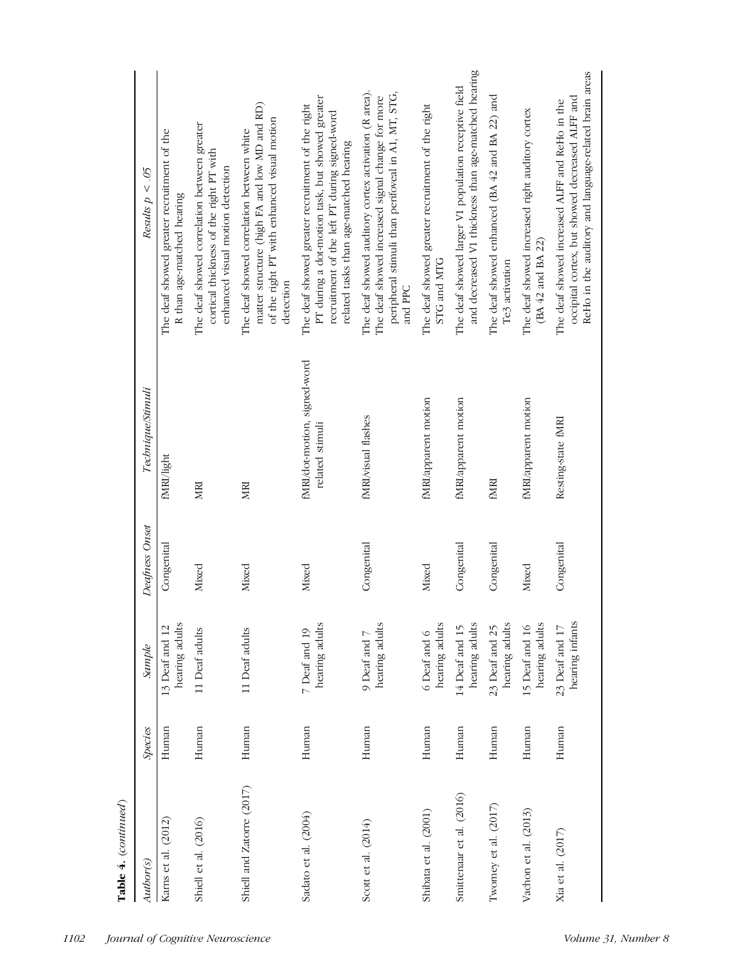| Table 4. (continued)      |                |                                   |                |                                                 |                                                                                                                                                                                                |
|---------------------------|----------------|-----------------------------------|----------------|-------------------------------------------------|------------------------------------------------------------------------------------------------------------------------------------------------------------------------------------------------|
| Author(s)                 | <b>Species</b> | Sample                            | Deafness Onset | Technique/Stimuli                               | Results $p < .05$                                                                                                                                                                              |
| Karns et al. (2012)       | Human          | hearing adults<br>13 Deaf and 12  | Congenital     | fMRI/light                                      | The deaf showed greater recruitment of the<br>R than age-matched hearing                                                                                                                       |
| Shiell et al. (2016)      | Human          | 11 Deaf adults                    | Mixed          | MRI                                             | The deaf showed correlation between greater<br>cortical thickness of the right PT with<br>enhanced visual motion detection                                                                     |
| Shiell and Zatorre (2017) | Human          | 11 Deaf adults                    | Mixed          | MRI                                             | matter structure (high FA and low MD and RD)<br>of the right PT with enhanced visual motion<br>The deaf showed correlation between white<br>detection                                          |
| Sadato et al. (2004)      | Human          | hearing adults<br>7 Deaf and 19   | Mixed          | fMRI/dot-motion, signed-word<br>related stimuli | PT during a dot-motion task, but showed greater<br>The deaf showed greater recruitment of the right<br>recruitment of the left PT during signed-word<br>related tasks than age-matched hearing |
| Scott et al. (2014)       | Human          | hearing adults<br>9 Deaf and 7    | Congenital     | fMRI/visual flashes                             | The deaf showed auditory cortex activation (R area).<br>peripheral stimuli than perifoveal in A1, MT, STG,<br>The deaf showed increased signal change for more<br>and PPC                      |
| Shibata et al. (2001)     | Human          | hearing adults<br>6 Deaf and 6    | Mixed          | fMRI/apparent motion                            | The deaf showed greater recruitment of the right<br>STG and MTG                                                                                                                                |
| Smittenaar et al. (2016)  | Human          | hearing adults<br>14 Deaf and 15  | Congenital     | fMRI/apparent motion                            | and decreased V1 thickness than age-matched hearing<br>The deaf showed larger V1 population receptive field                                                                                    |
| Twomey et al. $(2017)$    | Human          | hearing adults<br>23 Deaf and 25  | Congenital     | <b>ENRI</b>                                     | The deaf showed enhanced (BA 42 and BA 22) and<br>Te3 activation                                                                                                                               |
| Vachon et al. (2013)      | Human          | hearing adults<br>15 Deaf and 16  | Mixed          | fMRI/apparent motion                            | The deaf showed increased right auditory cortex<br>$(BA 42$ and BA 22)                                                                                                                         |
| Xia et al. (2017)         | Human          | hearing infants<br>23 Deaf and 17 | Congenital     | Resting-state fMRI                              | ReHo in the auditory and language-related brain areas<br>occipital cortex, but showed decreased ALFF and<br>The deaf showed increased ALFF and ReHo in the                                     |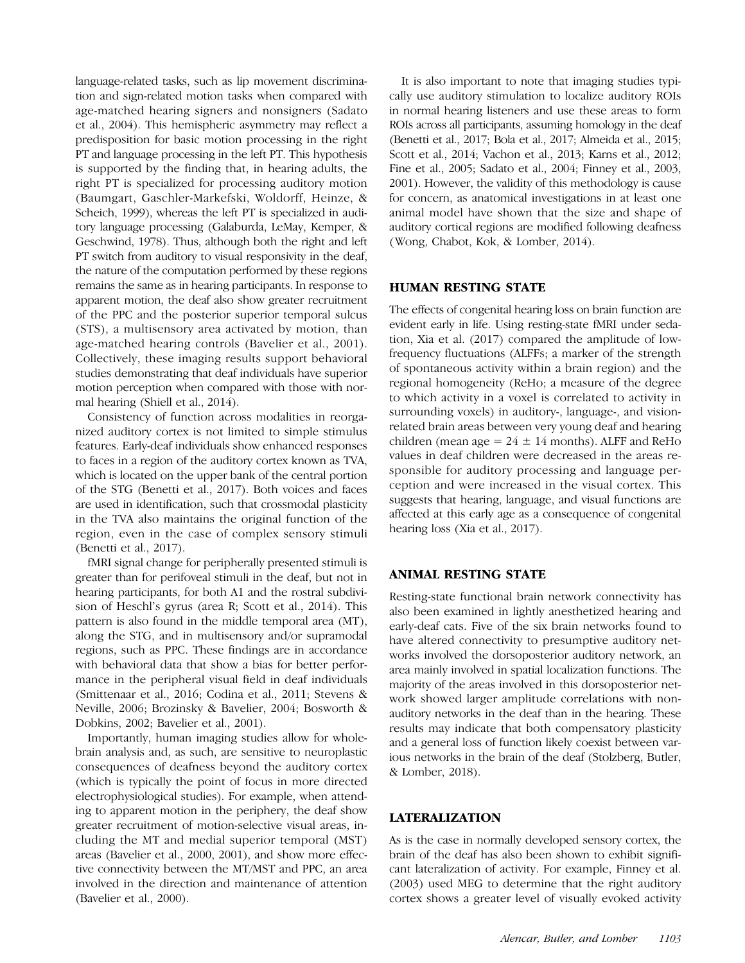language-related tasks, such as lip movement discrimination and sign-related motion tasks when compared with age-matched hearing signers and nonsigners (Sadato et al., 2004). This hemispheric asymmetry may reflect a predisposition for basic motion processing in the right PT and language processing in the left PT. This hypothesis is supported by the finding that, in hearing adults, the right PT is specialized for processing auditory motion (Baumgart, Gaschler-Markefski, Woldorff, Heinze, & Scheich, 1999), whereas the left PT is specialized in auditory language processing (Galaburda, LeMay, Kemper, & Geschwind, 1978). Thus, although both the right and left PT switch from auditory to visual responsivity in the deaf, the nature of the computation performed by these regions remains the same as in hearing participants. In response to apparent motion, the deaf also show greater recruitment of the PPC and the posterior superior temporal sulcus (STS), a multisensory area activated by motion, than age-matched hearing controls (Bavelier et al., 2001). Collectively, these imaging results support behavioral studies demonstrating that deaf individuals have superior motion perception when compared with those with normal hearing (Shiell et al., 2014).

Consistency of function across modalities in reorganized auditory cortex is not limited to simple stimulus features. Early-deaf individuals show enhanced responses to faces in a region of the auditory cortex known as TVA, which is located on the upper bank of the central portion of the STG (Benetti et al., 2017). Both voices and faces are used in identification, such that crossmodal plasticity in the TVA also maintains the original function of the region, even in the case of complex sensory stimuli (Benetti et al., 2017).

fMRI signal change for peripherally presented stimuli is greater than for perifoveal stimuli in the deaf, but not in hearing participants, for both A1 and the rostral subdivision of Heschl's gyrus (area R; Scott et al., 2014). This pattern is also found in the middle temporal area (MT), along the STG, and in multisensory and/or supramodal regions, such as PPC. These findings are in accordance with behavioral data that show a bias for better performance in the peripheral visual field in deaf individuals (Smittenaar et al., 2016; Codina et al., 2011; Stevens & Neville, 2006; Brozinsky & Bavelier, 2004; Bosworth & Dobkins, 2002; Bavelier et al., 2001).

Importantly, human imaging studies allow for wholebrain analysis and, as such, are sensitive to neuroplastic consequences of deafness beyond the auditory cortex (which is typically the point of focus in more directed electrophysiological studies). For example, when attending to apparent motion in the periphery, the deaf show greater recruitment of motion-selective visual areas, including the MT and medial superior temporal (MST) areas (Bavelier et al., 2000, 2001), and show more effective connectivity between the MT/MST and PPC, an area involved in the direction and maintenance of attention (Bavelier et al., 2000).

It is also important to note that imaging studies typically use auditory stimulation to localize auditory ROIs in normal hearing listeners and use these areas to form ROIs across all participants, assuming homology in the deaf (Benetti et al., 2017; Bola et al., 2017; Almeida et al., 2015; Scott et al., 2014; Vachon et al., 2013; Karns et al., 2012; Fine et al., 2005; Sadato et al., 2004; Finney et al., 2003, 2001). However, the validity of this methodology is cause for concern, as anatomical investigations in at least one animal model have shown that the size and shape of auditory cortical regions are modified following deafness (Wong, Chabot, Kok, & Lomber, 2014).

# HUMAN RESTING STATE

The effects of congenital hearing loss on brain function are evident early in life. Using resting-state fMRI under sedation, Xia et al. (2017) compared the amplitude of lowfrequency fluctuations (ALFFs; a marker of the strength of spontaneous activity within a brain region) and the regional homogeneity (ReHo; a measure of the degree to which activity in a voxel is correlated to activity in surrounding voxels) in auditory-, language-, and visionrelated brain areas between very young deaf and hearing children (mean age =  $24 \pm 14$  months). ALFF and ReHo values in deaf children were decreased in the areas responsible for auditory processing and language perception and were increased in the visual cortex. This suggests that hearing, language, and visual functions are affected at this early age as a consequence of congenital hearing loss (Xia et al., 2017).

#### ANIMAL RESTING STATE

Resting-state functional brain network connectivity has also been examined in lightly anesthetized hearing and early-deaf cats. Five of the six brain networks found to have altered connectivity to presumptive auditory networks involved the dorsoposterior auditory network, an area mainly involved in spatial localization functions. The majority of the areas involved in this dorsoposterior network showed larger amplitude correlations with nonauditory networks in the deaf than in the hearing. These results may indicate that both compensatory plasticity and a general loss of function likely coexist between various networks in the brain of the deaf (Stolzberg, Butler, & Lomber, 2018).

#### LATERALIZATION

As is the case in normally developed sensory cortex, the brain of the deaf has also been shown to exhibit significant lateralization of activity. For example, Finney et al. (2003) used MEG to determine that the right auditory cortex shows a greater level of visually evoked activity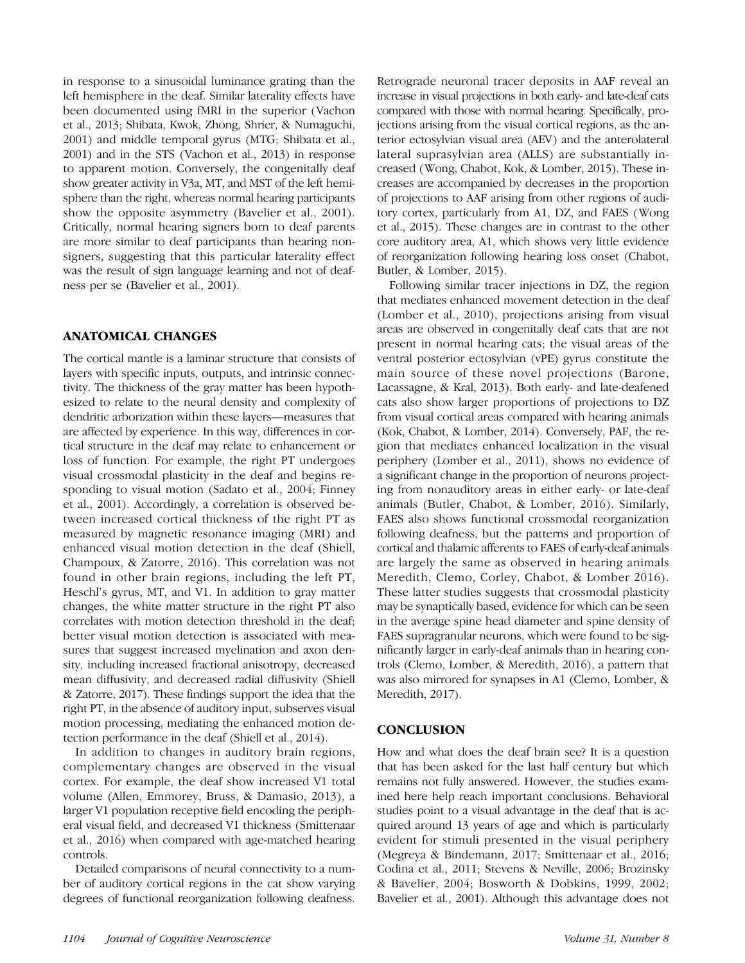in response to a sinusoidal luminance grating than the left hemisphere in the deaf. Similar laterality effects have been documented using fMRI in the superior (Vachon et al., 2013; Shibata, Kwok, Zhong, Shrier, & Numaguchi, 2001) and middle temporal gyrus (MTG; Shibata et al., 2001) and in the STS (Vachon et al., 2013) in response to apparent motion. Conversely, the congenitally deaf show greater activity in V3a, MT, and MST of the left hemisphere than the right, whereas normal hearing participants show the opposite asymmetry (Bavelier et al., 2001). Critically, normal hearing signers born to deaf parents are more similar to deaf participants than hearing nonsigners, suggesting that this particular laterality effect was the result of sign language learning and not of deafness per se (Bavelier et al., 2001).

# ANATOMICAL CHANGES

The cortical mantle is a laminar structure that consists of layers with specific inputs, outputs, and intrinsic connectivity. The thickness of the gray matter has been hypothesized to relate to the neural density and complexity of dendritic arborization within these layers—measures that are affected by experience. In this way, differences in cortical structure in the deaf may relate to enhancement or loss of function. For example, the right PT undergoes visual crossmodal plasticity in the deaf and begins responding to visual motion (Sadato et al., 2004; Finney et al., 2001). Accordingly, a correlation is observed between increased cortical thickness of the right PT as measured by magnetic resonance imaging (MRI) and enhanced visual motion detection in the deaf (Shiell, Champoux, & Zatorre, 2016). This correlation was not found in other brain regions, including the left PT, Heschl's gyrus, MT, and V1. In addition to gray matter changes, the white matter structure in the right PT also correlates with motion detection threshold in the deaf; better visual motion detection is associated with measures that suggest increased myelination and axon density, including increased fractional anisotropy, decreased mean diffusivity, and decreased radial diffusivity (Shiell & Zatorre, 2017). These findings support the idea that the right PT, in the absence of auditory input, subserves visual motion processing, mediating the enhanced motion detection performance in the deaf (Shiell et al., 2014).

In addition to changes in auditory brain regions, complementary changes are observed in the visual cortex. For example, the deaf show increased V1 total volume (Allen, Emmorey, Bruss, & Damasio, 2013), a larger V1 population receptive field encoding the peripheral visual field, and decreased V1 thickness (Smittenaar et al., 2016) when compared with age-matched hearing controls.

Detailed comparisons of neural connectivity to a number of auditory cortical regions in the cat show varying degrees of functional reorganization following deafness.

Retrograde neuronal tracer deposits in AAF reveal an increase in visual projections in both early- and late-deaf cats compared with those with normal hearing. Specifically, projections arising from the visual cortical regions, as the anterior ectosylvian visual area (AEV) and the anterolateral lateral suprasylvian area (ALLS) are substantially increased (Wong, Chabot, Kok, & Lomber, 2015). These increases are accompanied by decreases in the proportion of projections to AAF arising from other regions of auditory cortex, particularly from A1, DZ, and FAES (Wong et al., 2015). These changes are in contrast to the other core auditory area, A1, which shows very little evidence of reorganization following hearing loss onset (Chabot, Butler, & Lomber, 2015).

Following similar tracer injections in DZ, the region that mediates enhanced movement detection in the deaf (Lomber et al., 2010), projections arising from visual areas are observed in congenitally deaf cats that are not present in normal hearing cats; the visual areas of the ventral posterior ectosylvian (vPE) gyrus constitute the main source of these novel projections (Barone, Lacassagne, & Kral, 2013). Both early- and late-deafened cats also show larger proportions of projections to DZ from visual cortical areas compared with hearing animals (Kok, Chabot, & Lomber, 2014). Conversely, PAF, the region that mediates enhanced localization in the visual periphery (Lomber et al., 2011), shows no evidence of a significant change in the proportion of neurons projecting from nonauditory areas in either early- or late-deaf animals (Butler, Chabot, & Lomber, 2016). Similarly, FAES also shows functional crossmodal reorganization following deafness, but the patterns and proportion of cortical and thalamic afferents to FAES of early-deaf animals are largely the same as observed in hearing animals Meredith, Clemo, Corley, Chabot, & Lomber 2016). These latter studies suggests that crossmodal plasticity may be synaptically based, evidence for which can be seen in the average spine head diameter and spine density of FAES supragranular neurons, which were found to be significantly larger in early-deaf animals than in hearing controls (Clemo, Lomber, & Meredith, 2016), a pattern that was also mirrored for synapses in A1 (Clemo, Lomber, & Meredith, 2017).

# **CONCLUSION**

How and what does the deaf brain see? It is a question that has been asked for the last half century but which remains not fully answered. However, the studies examined here help reach important conclusions. Behavioral studies point to a visual advantage in the deaf that is acquired around 13 years of age and which is particularly evident for stimuli presented in the visual periphery (Megreya & Bindemann, 2017; Smittenaar et al., 2016; Codina et al., 2011; Stevens & Neville, 2006; Brozinsky & Bavelier, 2004; Bosworth & Dobkins, 1999, 2002; Bavelier et al., 2001). Although this advantage does not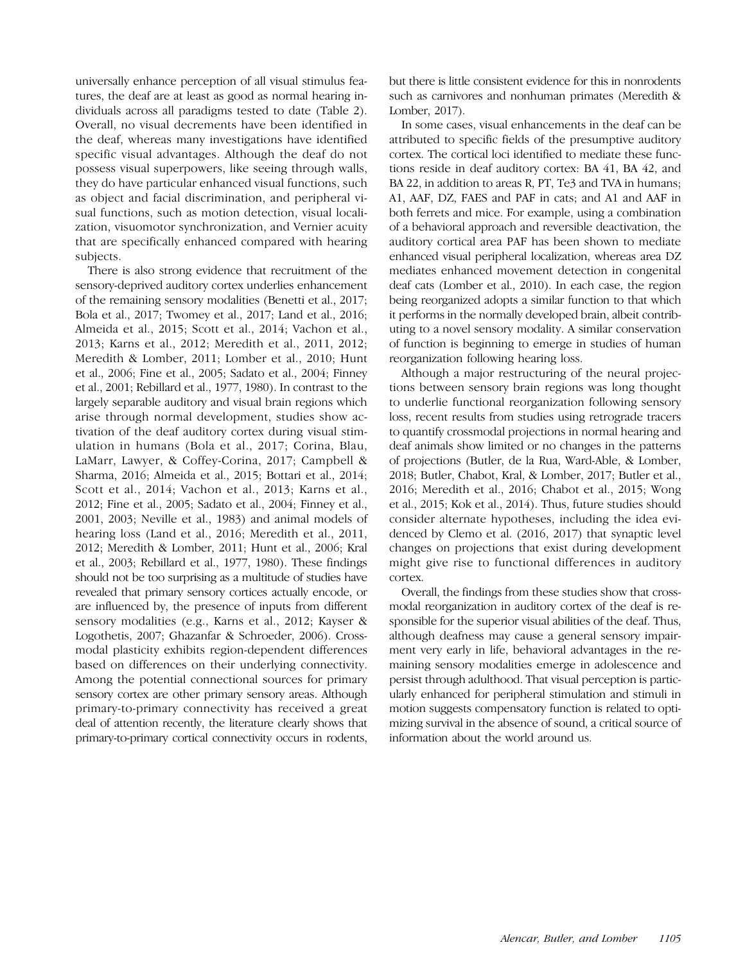universally enhance perception of all visual stimulus features, the deaf are at least as good as normal hearing individuals across all paradigms tested to date (Table 2). Overall, no visual decrements have been identified in the deaf, whereas many investigations have identified specific visual advantages. Although the deaf do not possess visual superpowers, like seeing through walls, they do have particular enhanced visual functions, such as object and facial discrimination, and peripheral visual functions, such as motion detection, visual localization, visuomotor synchronization, and Vernier acuity that are specifically enhanced compared with hearing subjects.

There is also strong evidence that recruitment of the sensory-deprived auditory cortex underlies enhancement of the remaining sensory modalities (Benetti et al., 2017; Bola et al., 2017; Twomey et al., 2017; Land et al., 2016; Almeida et al., 2015; Scott et al., 2014; Vachon et al., 2013; Karns et al., 2012; Meredith et al., 2011, 2012; Meredith & Lomber, 2011; Lomber et al., 2010; Hunt et al., 2006; Fine et al., 2005; Sadato et al., 2004; Finney et al., 2001; Rebillard et al., 1977, 1980). In contrast to the largely separable auditory and visual brain regions which arise through normal development, studies show activation of the deaf auditory cortex during visual stimulation in humans (Bola et al., 2017; Corina, Blau, LaMarr, Lawyer, & Coffey-Corina, 2017; Campbell & Sharma, 2016; Almeida et al., 2015; Bottari et al., 2014; Scott et al., 2014; Vachon et al., 2013; Karns et al., 2012; Fine et al., 2005; Sadato et al., 2004; Finney et al., 2001, 2003; Neville et al., 1983) and animal models of hearing loss (Land et al., 2016; Meredith et al., 2011, 2012; Meredith & Lomber, 2011; Hunt et al., 2006; Kral et al., 2003; Rebillard et al., 1977, 1980). These findings should not be too surprising as a multitude of studies have revealed that primary sensory cortices actually encode, or are influenced by, the presence of inputs from different sensory modalities (e.g., Karns et al., 2012; Kayser & Logothetis, 2007; Ghazanfar & Schroeder, 2006). Crossmodal plasticity exhibits region-dependent differences based on differences on their underlying connectivity. Among the potential connectional sources for primary sensory cortex are other primary sensory areas. Although primary-to-primary connectivity has received a great deal of attention recently, the literature clearly shows that primary-to-primary cortical connectivity occurs in rodents,

but there is little consistent evidence for this in nonrodents such as carnivores and nonhuman primates (Meredith & Lomber, 2017).

In some cases, visual enhancements in the deaf can be attributed to specific fields of the presumptive auditory cortex. The cortical loci identified to mediate these functions reside in deaf auditory cortex: BA 41, BA 42, and BA 22, in addition to areas R, PT, Te3 and TVA in humans; A1, AAF, DZ, FAES and PAF in cats; and A1 and AAF in both ferrets and mice. For example, using a combination of a behavioral approach and reversible deactivation, the auditory cortical area PAF has been shown to mediate enhanced visual peripheral localization, whereas area DZ mediates enhanced movement detection in congenital deaf cats (Lomber et al., 2010). In each case, the region being reorganized adopts a similar function to that which it performs in the normally developed brain, albeit contributing to a novel sensory modality. A similar conservation of function is beginning to emerge in studies of human reorganization following hearing loss.

Although a major restructuring of the neural projections between sensory brain regions was long thought to underlie functional reorganization following sensory loss, recent results from studies using retrograde tracers to quantify crossmodal projections in normal hearing and deaf animals show limited or no changes in the patterns of projections (Butler, de la Rua, Ward-Able, & Lomber, 2018; Butler, Chabot, Kral, & Lomber, 2017; Butler et al., 2016; Meredith et al., 2016; Chabot et al., 2015; Wong et al., 2015; Kok et al., 2014). Thus, future studies should consider alternate hypotheses, including the idea evidenced by Clemo et al. (2016, 2017) that synaptic level changes on projections that exist during development might give rise to functional differences in auditory cortex.

Overall, the findings from these studies show that crossmodal reorganization in auditory cortex of the deaf is responsible for the superior visual abilities of the deaf. Thus, although deafness may cause a general sensory impairment very early in life, behavioral advantages in the remaining sensory modalities emerge in adolescence and persist through adulthood. That visual perception is particularly enhanced for peripheral stimulation and stimuli in motion suggests compensatory function is related to optimizing survival in the absence of sound, a critical source of information about the world around us.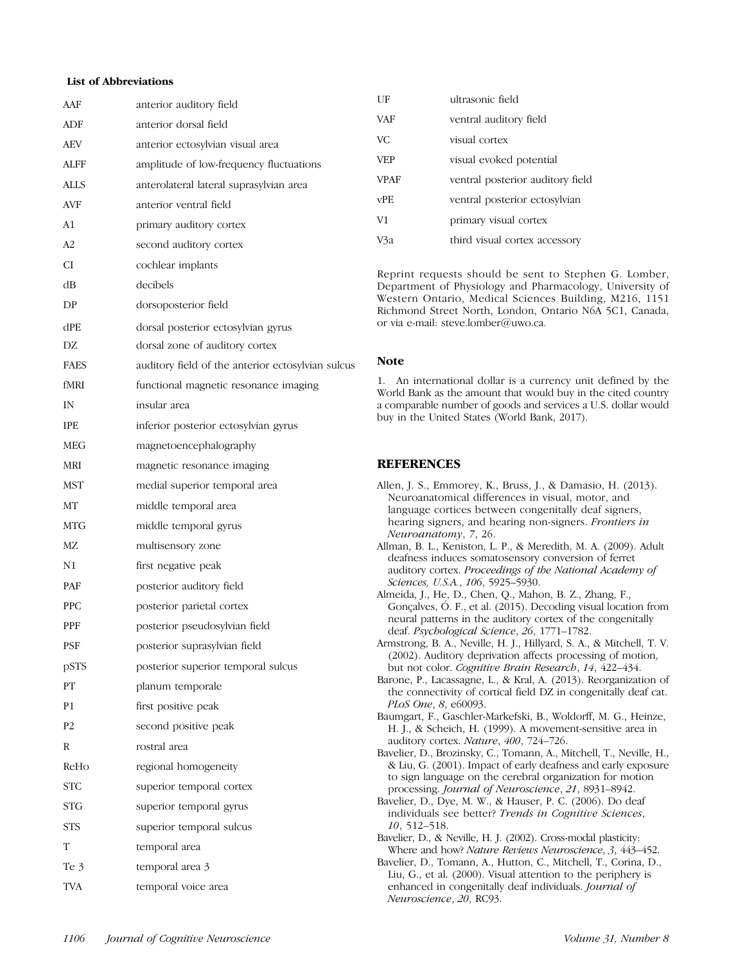# List of Abbreviations

| AAF         | anterior auditory field                           |
|-------------|---------------------------------------------------|
| ADF         | anterior dorsal field                             |
| AEV         | anterior ectosylvian visual area                  |
| <b>ALFF</b> | amplitude of low-frequency fluctuations           |
| ALLS        | anterolateral lateral suprasylvian area           |
| AVF         | anterior ventral field                            |
| A1          | primary auditory cortex                           |
| A2          | second auditory cortex                            |
| СI          | cochlear implants                                 |
| dВ          | decibels                                          |
| DP          | dorsoposterior field                              |
| dPE         | dorsal posterior ectosylvian gyrus                |
| DZ          | dorsal zone of auditory cortex                    |
| <b>FAES</b> | auditory field of the anterior ectosylvian sulcus |
| fMRI        | functional magnetic resonance imaging             |
| IN          | insular area                                      |
| <b>IPE</b>  | inferior posterior ectosylvian gyrus              |
| MEG         | magnetoencephalography                            |
| MRI         | magnetic resonance imaging                        |
| MST         | medial superior temporal area                     |
| МT          | middle temporal area                              |
| MTG         | middle temporal gyrus                             |
| MΖ          | multisensory zone                                 |
| N1          | first negative peak                               |
| PAF         | posterior auditory field                          |
| <b>PPC</b>  | posterior parietal cortex                         |
| PPF         | posterior pseudosylvian field                     |
| PSF         | posterior suprasylvian field                      |
| pSTS        | posterior superior temporal sulcus                |
| PT          | planum temporale                                  |
| P1          | first positive peak                               |
| P2          | second positive peak                              |
| R           | rostral area                                      |
| ReHo        | regional homogeneity                              |
| STC         | superior temporal cortex                          |
| STG         | superior temporal gyrus                           |
| STS         | superior temporal sulcus                          |
| T           | temporal area                                     |
| Te 3        | temporal area 3                                   |
| <b>TVA</b>  | temporal voice area                               |

| ΗF          | ultrasonic field                 |
|-------------|----------------------------------|
| <b>VAF</b>  | ventral auditory field           |
| VC.         | visual cortex                    |
| <b>VEP</b>  | visual evoked potential          |
| <b>VPAF</b> | ventral posterior auditory field |
| vPE.        | ventral posterior ectosylvian    |
| V1          | primary visual cortex            |
| /3а         | third visual cortex accessory    |

Reprint requests should be sent to Stephen G. Lomber, Department of Physiology and Pharmacology, University of Western Ontario, Medical Sciences Building, M216, 1151 Richmond Street North, London, Ontario N6A 5C1, Canada, or via e-mail: steve.lomber@uwo.ca.

#### Note

1. An international dollar is a currency unit defined by the World Bank as the amount that would buy in the cited country a comparable number of goods and services a U.S. dollar would buy in the United States (World Bank, 2017).

## **REFERENCES**

| Allen, J. S., Emmorey, K., Bruss, J., & Damasio, H. (2013).          |
|----------------------------------------------------------------------|
| Neuroanatomical differences in visual, motor, and                    |
| language cortices between congenitally deaf signers,                 |
| hearing signers, and hearing non-signers. Frontiers in               |
| Neuroanatomy, 7, 26.                                                 |
| Allman, B. L., Keniston, L. P., & Meredith, M. A. (2009). Adult      |
| deafness induces somatosensory conversion of ferret                  |
| auditory cortex. Proceedings of the National Academy of              |
| Sciences, U.S.A., 106, 5925-5930.                                    |
| Almeida, J., He, D., Chen, Q., Mahon, B. Z., Zhang, F.,              |
| Gonçalves, Ó. F., et al. (2015). Decoding visual location from       |
| neural patterns in the auditory cortex of the congenitally           |
| deaf. Psychological Science, 26, 1771-1782.                          |
| Armstrong, B. A., Neville, H. J., Hillyard, S. A., & Mitchell, T. V. |
| (2002). Auditory deprivation affects processing of motion,           |
| but not color. Cognitive Brain Research, 14, 422-434.                |
| Barone, P., Lacassagne, L., & Kral, A. (2013). Reorganization of     |
| the connectivity of cortical field DZ in congenitally deaf cat.      |
| PLoS One, 8, e60093.                                                 |
| Baumgart, F., Gaschler-Markefski, B., Woldorff, M. G., Heinze,       |
| H. J., & Scheich, H. (1999). A movement-sensitive area in            |
| auditory cortex. Nature, 400, 724-726.                               |
| Bavelier, D., Brozinsky, C., Tomann, A., Mitchell, T., Neville, H.,  |
| & Liu, G. (2001). Impact of early deafness and early exposure        |
| to sign language on the cerebral organization for motion             |
| processing. Journal of Neuroscience, 21, 8931-8942.                  |
| Bavelier, D., Dye, M. W., & Hauser, P. C. (2006). Do deaf            |
| individuals see better? Trends in Cognitive Sciences,                |
| $10, 512 - 518.$                                                     |
| Bavelier, D., & Neville, H. J. (2002). Cross-modal plasticity:       |
| Where and how? Nature Reviews Neuroscience, 3, 443-452.              |
| Bavelier, D., Tomann, A., Hutton, C., Mitchell, T., Corina, D.,      |
| Liu, G., et al. (2000). Visual attention to the periphery is         |
| enhanced in congenitally deaf individuals. Journal of                |
| Neuroscience, 20, RC93.                                              |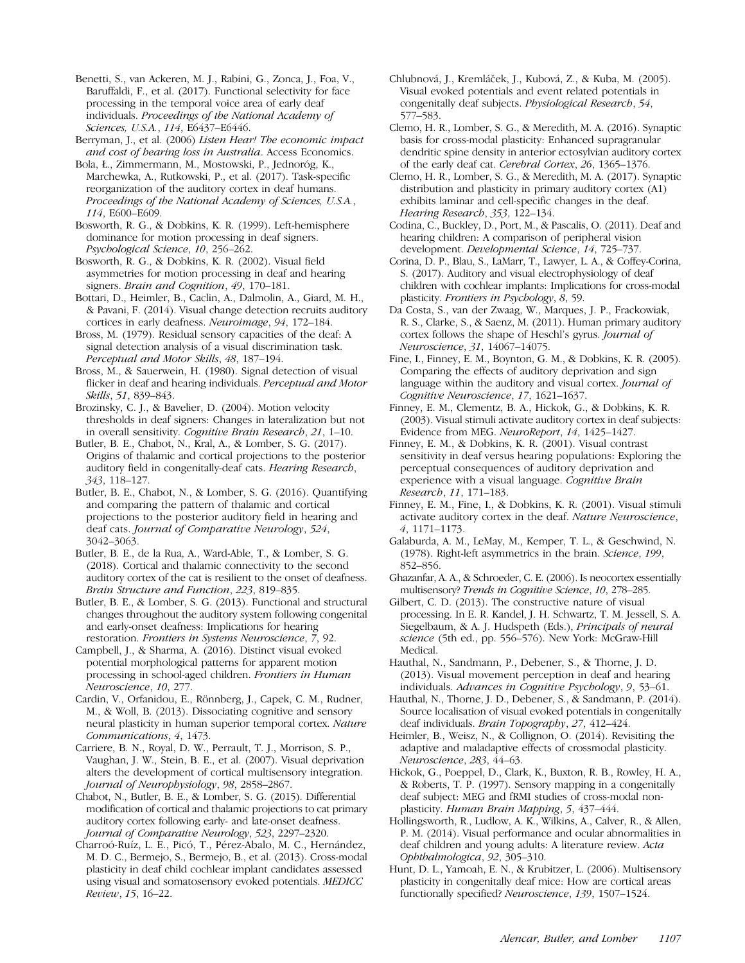Benetti, S., van Ackeren, M. J., Rabini, G., Zonca, J., Foa, V., Baruffaldi, F., et al. (2017). Functional selectivity for face processing in the temporal voice area of early deaf individuals. Proceedings of the National Academy of Sciences, U.S.A., 114, E6437–E6446.

Berryman, J., et al. (2006) Listen Hear! The economic impact and cost of hearing loss in Australia. Access Economics.

Bola, Ł., Zimmermann, M., Mostowski, P., Jednoróg, K., Marchewka, A., Rutkowski, P., et al. (2017). Task-specific reorganization of the auditory cortex in deaf humans. Proceedings of the National Academy of Sciences, U.S.A., 114, E600–E609.

Bosworth, R. G., & Dobkins, K. R. (1999). Left-hemisphere dominance for motion processing in deaf signers. Psychological Science, 10, 256–262.

Bosworth, R. G., & Dobkins, K. R. (2002). Visual field asymmetries for motion processing in deaf and hearing signers. Brain and Cognition, 49, 170–181.

Bottari, D., Heimler, B., Caclin, A., Dalmolin, A., Giard, M. H., & Pavani, F. (2014). Visual change detection recruits auditory cortices in early deafness. Neuroimage, 94, 172–184.

Bross, M. (1979). Residual sensory capacities of the deaf: A signal detection analysis of a visual discrimination task. Perceptual and Motor Skills, 48, 187–194.

Bross, M., & Sauerwein, H. (1980). Signal detection of visual flicker in deaf and hearing individuals. Perceptual and Motor Skills, 51, 839–843.

Brozinsky, C. J., & Bavelier, D. (2004). Motion velocity thresholds in deaf signers: Changes in lateralization but not in overall sensitivity. Cognitive Brain Research, 21, 1–10.

Butler, B. E., Chabot, N., Kral, A., & Lomber, S. G. (2017). Origins of thalamic and cortical projections to the posterior auditory field in congenitally-deaf cats. Hearing Research, 343, 118–127.

Butler, B. E., Chabot, N., & Lomber, S. G. (2016). Quantifying and comparing the pattern of thalamic and cortical projections to the posterior auditory field in hearing and deaf cats. Journal of Comparative Neurology, 524, 3042–3063.

Butler, B. E., de la Rua, A., Ward-Able, T., & Lomber, S. G. (2018). Cortical and thalamic connectivity to the second auditory cortex of the cat is resilient to the onset of deafness. Brain Structure and Function, 223, 819–835.

Butler, B. E., & Lomber, S. G. (2013). Functional and structural changes throughout the auditory system following congenital and early-onset deafness: Implications for hearing restoration. Frontiers in Systems Neuroscience, 7, 92.

Campbell, J., & Sharma, A. (2016). Distinct visual evoked potential morphological patterns for apparent motion processing in school-aged children. Frontiers in Human Neuroscience, 10, 277.

Cardin, V., Orfanidou, E., Rönnberg, J., Capek, C. M., Rudner, M., & Woll, B. (2013). Dissociating cognitive and sensory neural plasticity in human superior temporal cortex. Nature Communications, 4, 1473.

Carriere, B. N., Royal, D. W., Perrault, T. J., Morrison, S. P., Vaughan, J. W., Stein, B. E., et al. (2007). Visual deprivation alters the development of cortical multisensory integration. Journal of Neurophysiology, 98, 2858–2867.

Chabot, N., Butler, B. E., & Lomber, S. G. (2015). Differential modification of cortical and thalamic projections to cat primary auditory cortex following early- and late-onset deafness. Journal of Comparative Neurology, 523, 2297–2320.

Charroó-Ruíz, L. E., Picó, T., Pérez-Abalo, M. C., Hernández, M. D. C., Bermejo, S., Bermejo, B., et al. (2013). Cross-modal plasticity in deaf child cochlear implant candidates assessed using visual and somatosensory evoked potentials. MEDICC Review, 15, 16–22.

Chlubnová, J., Kremláček, J., Kubová, Z., & Kuba, M. (2005). Visual evoked potentials and event related potentials in congenitally deaf subjects. Physiological Research, 54, 577–583.

Clemo, H. R., Lomber, S. G., & Meredith, M. A. (2016). Synaptic basis for cross-modal plasticity: Enhanced supragranular dendritic spine density in anterior ectosylvian auditory cortex of the early deaf cat. Cerebral Cortex, 26, 1365–1376.

Clemo, H. R., Lomber, S. G., & Meredith, M. A. (2017). Synaptic distribution and plasticity in primary auditory cortex (A1) exhibits laminar and cell-specific changes in the deaf. Hearing Research, 353, 122–134.

Codina, C., Buckley, D., Port, M., & Pascalis, O. (2011). Deaf and hearing children: A comparison of peripheral vision development. Developmental Science, 14, 725–737.

Corina, D. P., Blau, S., LaMarr, T., Lawyer, L. A., & Coffey-Corina, S. (2017). Auditory and visual electrophysiology of deaf children with cochlear implants: Implications for cross-modal plasticity. Frontiers in Psychology, 8, 59.

Da Costa, S., van der Zwaag, W., Marques, J. P., Frackowiak, R. S., Clarke, S., & Saenz, M. (2011). Human primary auditory cortex follows the shape of Heschl's gyrus. Journal of Neuroscience, 31, 14067–14075.

Fine, I., Finney, E. M., Boynton, G. M., & Dobkins, K. R. (2005). Comparing the effects of auditory deprivation and sign language within the auditory and visual cortex. Journal of Cognitive Neuroscience, 17, 1621–1637.

Finney, E. M., Clementz, B. A., Hickok, G., & Dobkins, K. R. (2003). Visual stimuli activate auditory cortex in deaf subjects: Evidence from MEG. NeuroReport, 14, 1425–1427.

Finney, E. M., & Dobkins, K. R. (2001). Visual contrast sensitivity in deaf versus hearing populations: Exploring the perceptual consequences of auditory deprivation and experience with a visual language. Cognitive Brain Research, 11, 171–183.

Finney, E. M., Fine, I., & Dobkins, K. R. (2001). Visual stimuli activate auditory cortex in the deaf. Nature Neuroscience, 4, 1171–1173.

Galaburda, A. M., LeMay, M., Kemper, T. L., & Geschwind, N. (1978). Right-left asymmetrics in the brain. Science, 199, 852–856.

Ghazanfar, A. A., & Schroeder, C. E. (2006). Is neocortex essentially multisensory? Trends in Cognitive Science, 10, 278–285.

Gilbert, C. D. (2013). The constructive nature of visual processing. In E. R. Kandel, J. H. Schwartz, T. M. Jessell, S. A. Siegelbaum, & A. J. Hudspeth (Eds.), Principals of neural science (5th ed., pp. 556–576). New York: McGraw-Hill Medical.

Hauthal, N., Sandmann, P., Debener, S., & Thorne, J. D. (2013). Visual movement perception in deaf and hearing individuals. Advances in Cognitive Psychology, 9, 53–61.

Hauthal, N., Thorne, J. D., Debener, S., & Sandmann, P. (2014). Source localisation of visual evoked potentials in congenitally deaf individuals. Brain Topography, 27, 412–424.

Heimler, B., Weisz, N., & Collignon, O. (2014). Revisiting the adaptive and maladaptive effects of crossmodal plasticity. Neuroscience, 283, 44–63.

Hickok, G., Poeppel, D., Clark, K., Buxton, R. B., Rowley, H. A., & Roberts, T. P. (1997). Sensory mapping in a congenitally deaf subject: MEG and fRMI studies of cross-modal nonplasticity. Human Brain Mapping, 5, 437–444.

Hollingsworth, R., Ludlow, A. K., Wilkins, A., Calver, R., & Allen, P. M. (2014). Visual performance and ocular abnormalities in deaf children and young adults: A literature review. Acta Ophthalmologica, 92, 305–310.

Hunt, D. L., Yamoah, E. N., & Krubitzer, L. (2006). Multisensory plasticity in congenitally deaf mice: How are cortical areas functionally specified? Neuroscience, 139, 1507–1524.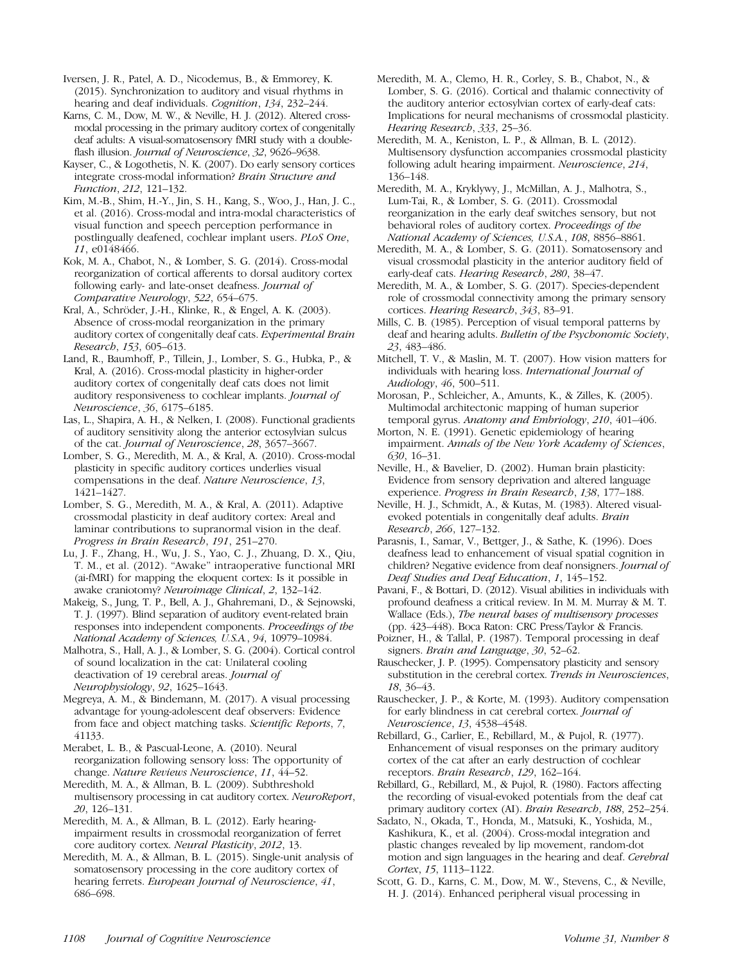Iversen, J. R., Patel, A. D., Nicodemus, B., & Emmorey, K. (2015). Synchronization to auditory and visual rhythms in hearing and deaf individuals. Cognition, 134, 232–244.

Karns, C. M., Dow, M. W., & Neville, H. J. (2012). Altered crossmodal processing in the primary auditory cortex of congenitally deaf adults: A visual-somatosensory fMRI study with a doubleflash illusion. Journal of Neuroscience, 32, 9626-9638.

Kayser, C., & Logothetis, N. K. (2007). Do early sensory cortices integrate cross-modal information? Brain Structure and Function, 212, 121–132.

Kim, M.-B., Shim, H.-Y., Jin, S. H., Kang, S., Woo, J., Han, J. C., et al. (2016). Cross-modal and intra-modal characteristics of visual function and speech perception performance in postlingually deafened, cochlear implant users. PLoS One, 11, e0148466.

Kok, M. A., Chabot, N., & Lomber, S. G. (2014). Cross-modal reorganization of cortical afferents to dorsal auditory cortex following early- and late-onset deafness. Journal of Comparative Neurology, 522, 654–675.

Kral, A., Schröder, J.-H., Klinke, R., & Engel, A. K. (2003). Absence of cross-modal reorganization in the primary auditory cortex of congenitally deaf cats. Experimental Brain Research, 153, 605–613.

Land, R., Baumhoff, P., Tillein, J., Lomber, S. G., Hubka, P., & Kral, A. (2016). Cross-modal plasticity in higher-order auditory cortex of congenitally deaf cats does not limit auditory responsiveness to cochlear implants. Journal of Neuroscience, 36, 6175–6185.

Las, L., Shapira, A. H., & Nelken, I. (2008). Functional gradients of auditory sensitivity along the anterior ectosylvian sulcus of the cat. Journal of Neuroscience, 28, 3657–3667.

Lomber, S. G., Meredith, M. A., & Kral, A. (2010). Cross-modal plasticity in specific auditory cortices underlies visual compensations in the deaf. Nature Neuroscience, 13, 1421–1427.

Lomber, S. G., Meredith, M. A., & Kral, A. (2011). Adaptive crossmodal plasticity in deaf auditory cortex: Areal and laminar contributions to supranormal vision in the deaf. Progress in Brain Research, 191, 251–270.

Lu, J. F., Zhang, H., Wu, J. S., Yao, C. J., Zhuang, D. X., Qiu, T. M., et al. (2012). "Awake" intraoperative functional MRI (ai-fMRI) for mapping the eloquent cortex: Is it possible in awake craniotomy? Neuroimage Clinical, 2, 132–142.

Makeig, S., Jung, T. P., Bell, A. J., Ghahremani, D., & Sejnowski, T. J. (1997). Blind separation of auditory event-related brain responses into independent components. Proceedings of the National Academy of Sciences, U.S.A., 94, 10979–10984.

Malhotra, S., Hall, A. J., & Lomber, S. G. (2004). Cortical control of sound localization in the cat: Unilateral cooling deactivation of 19 cerebral areas. Journal of Neurophysiology, 92, 1625–1643.

Megreya, A. M., & Bindemann, M. (2017). A visual processing advantage for young-adolescent deaf observers: Evidence from face and object matching tasks. Scientific Reports, 7, 41133.

Merabet, L. B., & Pascual-Leone, A. (2010). Neural reorganization following sensory loss: The opportunity of change. Nature Reviews Neuroscience, 11, 44–52.

Meredith, M. A., & Allman, B. L. (2009). Subthreshold multisensory processing in cat auditory cortex. NeuroReport, 20, 126–131.

Meredith, M. A., & Allman, B. L. (2012). Early hearingimpairment results in crossmodal reorganization of ferret core auditory cortex. Neural Plasticity, 2012, 13.

Meredith, M. A., & Allman, B. L. (2015). Single-unit analysis of somatosensory processing in the core auditory cortex of hearing ferrets. European Journal of Neuroscience, 41, 686–698.

Meredith, M. A., Clemo, H. R., Corley, S. B., Chabot, N., & Lomber, S. G. (2016). Cortical and thalamic connectivity of the auditory anterior ectosylvian cortex of early-deaf cats: Implications for neural mechanisms of crossmodal plasticity. Hearing Research, 333, 25–36.

Meredith, M. A., Keniston, L. P., & Allman, B. L. (2012). Multisensory dysfunction accompanies crossmodal plasticity following adult hearing impairment. Neuroscience, 214, 136–148.

Meredith, M. A., Kryklywy, J., McMillan, A. J., Malhotra, S., Lum-Tai, R., & Lomber, S. G. (2011). Crossmodal reorganization in the early deaf switches sensory, but not behavioral roles of auditory cortex. Proceedings of the National Academy of Sciences, U.S.A., 108, 8856–8861.

Meredith, M. A., & Lomber, S. G. (2011). Somatosensory and visual crossmodal plasticity in the anterior auditory field of early-deaf cats. Hearing Research, 280, 38–47.

Meredith, M. A., & Lomber, S. G. (2017). Species-dependent role of crossmodal connectivity among the primary sensory cortices. Hearing Research, 343, 83–91.

Mills, C. B. (1985). Perception of visual temporal patterns by deaf and hearing adults. Bulletin of the Psychonomic Society, 23, 483–486.

Mitchell, T. V., & Maslin, M. T. (2007). How vision matters for individuals with hearing loss. International Journal of Audiology, 46, 500–511.

Morosan, P., Schleicher, A., Amunts, K., & Zilles, K. (2005). Multimodal architectonic mapping of human superior temporal gyrus. Anatomy and Embriology, 210, 401-406.

Morton, N. E. (1991). Genetic epidemiology of hearing impairment. Annals of the New York Academy of Sciences, 630, 16–31.

Neville, H., & Bavelier, D. (2002). Human brain plasticity: Evidence from sensory deprivation and altered language experience. Progress in Brain Research, 138, 177–188.

Neville, H. J., Schmidt, A., & Kutas, M. (1983). Altered visualevoked potentials in congenitally deaf adults. Brain Research, 266, 127–132.

Parasnis, I., Samar, V., Bettger, J., & Sathe, K. (1996). Does deafness lead to enhancement of visual spatial cognition in children? Negative evidence from deaf nonsigners. Journal of Deaf Studies and Deaf Education, 1, 145–152.

Pavani, F., & Bottari, D. (2012). Visual abilities in individuals with profound deafness a critical review. In M. M. Murray & M. T. Wallace (Eds.), The neural bases of multisensory processes (pp. 423–448). Boca Raton: CRC Press/Taylor & Francis.

Poizner, H., & Tallal, P. (1987). Temporal processing in deaf signers. Brain and Language, 30, 52–62.

Rauschecker, J. P. (1995). Compensatory plasticity and sensory substitution in the cerebral cortex. Trends in Neurosciences, 18, 36–43.

Rauschecker, J. P., & Korte, M. (1993). Auditory compensation for early blindness in cat cerebral cortex. Journal of Neuroscience, 13, 4538–4548.

Rebillard, G., Carlier, E., Rebillard, M., & Pujol, R. (1977). Enhancement of visual responses on the primary auditory cortex of the cat after an early destruction of cochlear receptors. Brain Research, 129, 162–164.

Rebillard, G., Rebillard, M., & Pujol, R. (1980). Factors affecting the recording of visual-evoked potentials from the deaf cat primary auditory cortex (AI). Brain Research, 188, 252–254.

Sadato, N., Okada, T., Honda, M., Matsuki, K., Yoshida, M., Kashikura, K., et al. (2004). Cross-modal integration and plastic changes revealed by lip movement, random-dot motion and sign languages in the hearing and deaf. Cerebral Cortex, 15, 1113–1122.

Scott, G. D., Karns, C. M., Dow, M. W., Stevens, C., & Neville, H. J. (2014). Enhanced peripheral visual processing in